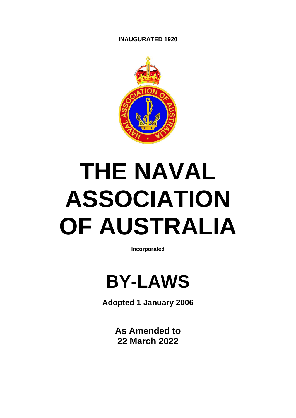#### **INAUGURATED 1920**



# **THE NAVAL ASSOCIATION OF AUSTRALIA**

**Incorporated** 



**Adopted 1 January 2006**

**As Amended to 22 March 2022**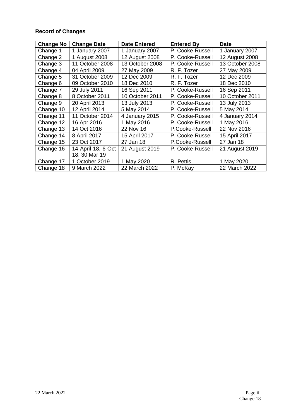#### **Record of Changes**

| <b>Change No</b> | <b>Change Date</b> | <b>Date Entered</b> | <b>Entered By</b> | <b>Date</b>     |
|------------------|--------------------|---------------------|-------------------|-----------------|
| Change 1         | 1 January 2007     | 1 January 2007      | P. Cooke-Russell  | 1 January 2007  |
| Change 2         | 1 August 2008      | 12 August 2008      | P. Cooke-Russell  | 12 August 2008  |
| Change 3         | 11 October 2008    | 13 October 2008     | P. Cooke-Russell  | 13 October 2008 |
| Change 4         | 04 April 2009      | 27 May 2009         | R. F. Tozer       | 27 May 2009     |
| Change 5         | 31 October 2009    | 12 Dec 2009         | R. F. Tozer       | 12 Dec 2009     |
| Change 6         | 09 October 2010    | 18 Dec 2010         | R. F. Tozer       | 18 Dec 2010     |
| Change 7         | 29 July 2011       | 16 Sep 2011         | P. Cooke-Russell  | 16 Sep 2011     |
| Change 8         | 8 October 2011     | 10 October 2011     | P. Cooke-Russell  | 10 October 2011 |
| Change 9         | 20 April 2013      | 13 July 2013        | P. Cooke-Russell  | 13 July 2013    |
| Change 10        | 12 April 2014      | 5 May 2014          | P. Cooke-Russell  | 5 May 2014      |
| Change 11        | 11 October 2014    | 4 January 2015      | P. Cooke-Russell  | 4 January 2014  |
| Change 12        | 16 Apr 2016        | 1 May 2016          | P. Cooke-Russell  | 1 May 2016      |
| Change 13        | 14 Oct 2016        | 22 Nov 16           | P.Cooke-Russell   | 22 Nov 2016     |
| Change 14        | 8 April 2017       | 15 April 2017       | P. Cooke-Russel   | 15 April 2017   |
| Change 15        | 23 Oct 2017        | 27 Jan 18           | P.Cooke-Russell   | 27 Jan 18       |
| Change 16        | 14 April 18, 6 Oct | 21 August 2019      | P. Cooke-Russell  | 21 August 2019  |
|                  | 18, 30 Mar 19      |                     |                   |                 |
| Change 17        | 1 October 2019     | 1 May 2020          | R. Pettis         | 1 May 2020      |
| Change 18        | 9 March 2022       | 22 March 2022       | P. McKay          | 22 March 2022   |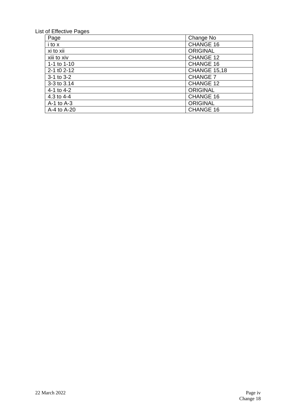### List of Effective Pages

| Page                | Change No           |
|---------------------|---------------------|
| i to x              | CHANGE 16           |
| xi to xii           | <b>ORIGINAL</b>     |
| xiii to xiv         | <b>CHANGE 12</b>    |
| 1-1 to $1-10$       | <b>CHANGE 16</b>    |
| $2 - 1$ to $2 - 12$ | <b>CHANGE 15,18</b> |
| $3-1$ to $3-2$      | <b>CHANGE 7</b>     |
| 3-3 to 3.14         | CHANGE 12           |
| 4-1 to 4-2          | <b>ORIGINAL</b>     |
| 4.3 to $4-4$        | <b>CHANGE 16</b>    |
| $A-1$ to $A-3$      | <b>ORIGINAL</b>     |
| A-4 to A-20         | CHANGE 16           |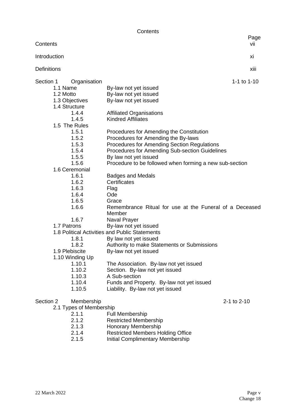**Contents** 

| Contents                              |                                                                   | Page<br>vii |
|---------------------------------------|-------------------------------------------------------------------|-------------|
| Introduction                          |                                                                   | xi          |
| <b>Definitions</b>                    |                                                                   | xiii        |
|                                       |                                                                   |             |
| Section 1<br>Organisation<br>1.1 Name |                                                                   | 1-1 to 1-10 |
|                                       | By-law not yet issued                                             |             |
| 1.2 Motto                             | By-law not yet issued                                             |             |
| 1.3 Objectives                        | By-law not yet issued                                             |             |
| 1.4 Structure                         |                                                                   |             |
| 1.4.4                                 | <b>Affiliated Organisations</b><br><b>Kindred Affiliates</b>      |             |
| 1.4.5                                 |                                                                   |             |
| 1.5 The Rules                         |                                                                   |             |
| 1.5.1                                 | Procedures for Amending the Constitution                          |             |
| 1.5.2                                 | Procedures for Amending the By-laws                               |             |
| 1.5.3                                 | <b>Procedures for Amending Section Regulations</b>                |             |
| 1.5.4                                 | Procedures for Amending Sub-section Guidelines                    |             |
| 1.5.5<br>1.5.6                        | By law not yet issued                                             |             |
|                                       | Procedure to be followed when forming a new sub-section           |             |
| 1.6 Ceremonial<br>1.6.1               |                                                                   |             |
| 1.6.2                                 | <b>Badges and Medals</b><br>Certificates                          |             |
| 1.6.3                                 |                                                                   |             |
| 1.6.4                                 | Flag<br>Ode                                                       |             |
| 1.6.5                                 |                                                                   |             |
| 1.6.6                                 | Grace                                                             |             |
|                                       | Remembrance Ritual for use at the Funeral of a Deceased<br>Member |             |
| 1.6.7                                 | Naval Prayer                                                      |             |
| 1.7 Patrons                           | By-law not yet issued                                             |             |
|                                       | 1.8 Political Activities and Public Statements                    |             |
| 1.8.1                                 | By law not yet issued                                             |             |
| 1.8.2                                 | Authority to make Statements or Submissions                       |             |
| 1.9 Plebiscite                        | By-law not yet issued                                             |             |
| 1.10 Winding Up                       |                                                                   |             |
| 1.10.1                                | The Association. By-law not yet issued                            |             |
| 1.10.2                                | Section. By-law not yet issued                                    |             |
| 1.10.3                                | A Sub-section                                                     |             |
| 1.10.4                                | Funds and Property. By-law not yet issued                         |             |
| 1.10.5                                | Liability. By-law not yet issued                                  |             |
| Membership<br>Section 2               |                                                                   | 2-1 to 2-10 |
| 2.1 Types of Membership               |                                                                   |             |
| 2.1.1                                 | <b>Full Membership</b>                                            |             |

- 2.1.2 Restricted Membership
- 
- 2.1.3 Honorary Membership<br>2.1.4 Restricted Members Ho 2.1.4 Restricted Members Holding Office<br>2.1.5 Initial Complimentary Membership
- Initial Complimentary Membership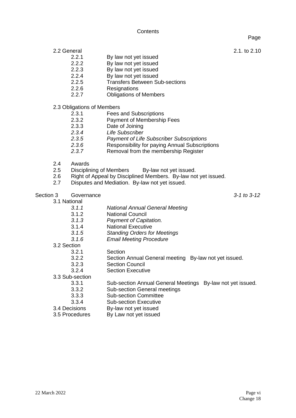**Contents** 

Page

- 2.2 General 2.1. to 2.10
	- 2.2.1 By law not yet issued<br>2.2.2 By law not yet issued
	- 2.2.2 By law not yet issued<br>2.2.3 By law not yet issued
	- 2.2.3 By law not yet issued<br>2.2.4 By law not yet issued
	- By law not yet issued
	- 2.2.5 Transfers Between Sub-sections
	- 2.2.6 Resignations
	- 2.2.7 Obligations of Members
- 2.3 Obligations of Members<br>2.3.1 Fees
	- **Fees and Subscriptions**
	- 2.3.2 Payment of Membership Fees
	- 2.3.3 Date of Joining
	-
	- *2.3.4 Life Subscriber 2.3.5 Payment of Life Subscriber Subscriptions*
	- *2.3.6* Responsibility for paying Annual Subscriptions
	- *2.3.7* Removal from the membership Register
- 2.4 Awards
- 
- 2.5 Disciplining of Members By-law not yet issued.<br>2.6 Right of Appeal by Disciplined Members. By-law no Right of Appeal by Disciplined Members. By-law not yet issued.
- 2.7 Disputes and Mediation. By-law not yet issued.

Section 3 Governance *3-1 to 3-12*

3.1 National

- *3.1.1 National Annual General Meeting* 3.1.2 National Council *3.1.3 Payment of Capitation.*  3.1.4 National Executive *3.1.5 Standing Orders for Meetings 3.1.6 Email Meeting Procedure* 3.2 Section 3.2.1 Section 3.2.2 Section Annual General meeting By-law not yet issued. Section Council 3.2.4 Section Executive 3.3 Sub-section 3.3.1 Sub-section Annual General Meetings By-law not yet issued. 3.3.2 Sub-section General meetings 3.3.3 Sub-section Committee 3.3.4 Sub-section Executive 3.4 Decisions By-law not yet issued
- 3.5 Procedures By Law not yet issued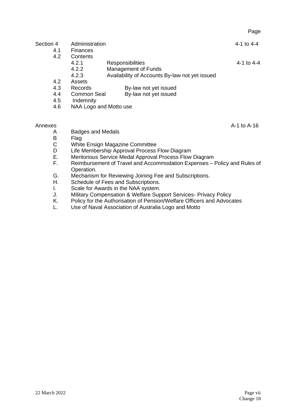## Section 4 Administration 4 Administration 4.1 Finances

- **Finances**
- 4.2 Contents
	- 4.2.1 Responsibilities 4.2.1 Responsibilities 4-1 to 4-4 contract 4-1 to 4-4 contract 4-1 to 4-4
	- 4.2.2 Management of Funds<br>4.2.3 Availability of Accounts
		- Availability of Accounts By-law not yet issued
- 4.2 Assets<br>4.3 Records
- By-law not yet issued
- 4.4 Common Seal By-law not yet issued
- 4.5 Indemnity<br>4.6 NAA Logo
- NAA Logo and Motto use

- Annexes Annexes A-1 to A-16 A Badges and Medals<br>B Flag
	- B Flag<br>C White
	- C White Ensign Magazine Committee<br>D Life Membership Approval Process
	- D Life Membership Approval Process Flow Diagram<br>E. Meritorious Service Medal Approval Process Flow
	- Meritorious Service Medal Approval Process Flow Diagram
	- F. Reimbursement of Travel and Accommodation Expenses Policy and Rules of Operation.
	- G. Mechanism for Reviewing Joining Fee and Subscriptions.<br>H. Schedule of Fees and Subscriptions.
	- Schedule of Fees and Subscriptions.
	- I. Scale for Awards in the NAA system.<br>J. Military Compensation & Welfare Sup
	- J. Military Compensation & Welfare Support Services- Privacy Policy<br>K. Policy for the Authorisation of Pension/Welfare Officers and Advoca
	- Policy for the Authorisation of Pension/Welfare Officers and Advocates
	- L. Use of Naval Association of Australia Logo and Motto

Page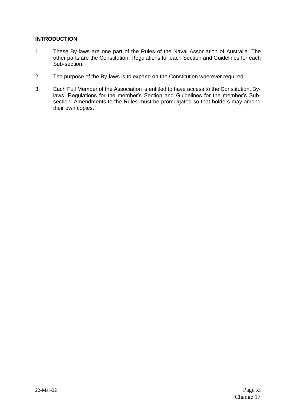#### **INTRODUCTION**

- 1. These By-laws are one part of the Rules of the Naval Association of Australia. The other parts are the Constitution, Regulations for each Section and Guidelines for each Sub-section.
- 2. The purpose of the By-laws is to expand on the Constitution wherever required.
- 3. Each Full Member of the Association is entitled to have access to the Constitution, Bylaws, Regulations for the member's Section and Guidelines for the member's Subsection. Amendments to the Rules must be promulgated so that holders may amend their own copies.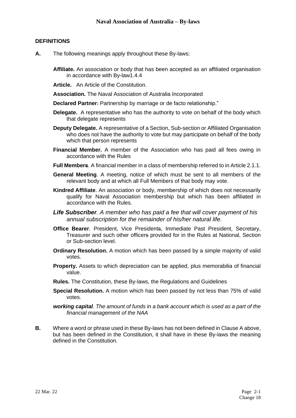#### **DEFINITIONS**

- **A.** The following meanings apply throughout these By-laws:
	- **Affiliate.** An association or body that has been accepted as an affiliated organisation in accordance with By-law1.4.4
	- **Article.** An Article of the Constitution.
	- **Association.** The Naval Association of Australia Incorporated
	- **Declared Partner:** Partnership by marriage or de facto relationship."
	- **Delegate.** A representative who has the authority to vote on behalf of the body which that delegate represents
	- **Deputy Delegate.** A representative of a Section, Sub-section or Affiliated Organisation who does not have the authority to vote but may participate on behalf of the body which that person represents
	- **Financial Member.** A member of the Association who has paid all fees owing in accordance with the Rules
	- **Full Members**. A financial member in a class of membership referred to in Article 2.1.1.
	- **General Meeting**. A meeting, notice of which must be sent to all members of the relevant body and at which all Full Members of that body may vote.
	- **Kindred Affiliate**. An association or body, membership of which does not necessarily qualify for Naval Association membership but which has been affiliated in accordance with the Rules.
	- *Life Subscriber. A member who has paid a fee that will cover payment of his annual subscription for the remainder of his/her natural life.*
	- **Office Bearer**. President, Vice Presidents, Immediate Past President, Secretary, Treasurer and such other officers provided for in the Rules at National, Section or Sub-section level.
	- **Ordinary Resolution.** A motion which has been passed by a simple majority of valid votes.
	- **Property.** Assets to which depreciation can be applied, plus memorabilia of financial value.
	- **Rules.** The Constitution, these By-laws, the Regulations and Guidelines
	- **Special Resolution.** A motion which has been passed by not less than 75% of valid votes.
	- *working capital. The amount of funds in a bank account which is used as a part of the financial management of the NAA*
- **B.** Where a word or phrase used in these By-laws has not been defined in Clause A above, but has been defined in the Constitution, it shall have in these By-laws the meaning defined in the Constitution.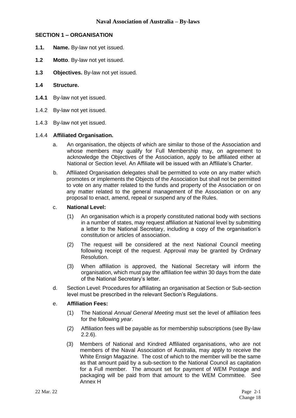#### **SECTION 1 – ORGANISATION**

- **1.1. Name.** By-law not yet issued.
- **1.2 Motto**. By-law not yet issued.
- **1.3 Objectives.** By-law not yet issued.

#### **1.4 Structure.**

- **1.4.1** By-law not yet issued.
- 1.4.2 By-law not yet issued.
- 1.4.3 By-law not yet issued.

#### 1.4.4 **Affiliated Organisation.**

- a. An organisation, the objects of which are similar to those of the Association and whose members may qualify for Full Membership may, on agreement to acknowledge the Objectives of the Association, apply to be affiliated either at National or Section level. An Affiliate will be issued with an Affiliate's Charter.
- b. Affiliated Organisation delegates shall be permitted to vote on any matter which promotes or implements the Objects of the Association but shall not be permitted to vote on any matter related to the funds and property of the Association or on any matter related to the general management of the Association or on any proposal to enact, amend, repeal or suspend any of the Rules.

#### c. **National Level:**

- (1) An organisation which is a properly constituted national body with sections in a number of states, may request affiliation at National level by submitting a letter to the National Secretary, including a copy of the organisation's constitution or articles of association.
- (2) The request will be considered at the next National Council meeting following receipt of the request. Approval may be granted by Ordinary Resolution.
- (3) When affiliation is approved, the National Secretary will inform the organisation, which must pay the affiliation fee within 30 days from the date of the National Secretary's letter.
- d. Section Level: Procedures for affiliating an organisation at Section or Sub-section level must be prescribed in the relevant Section's Regulations.

#### e. **Affiliation Fees:**

- (1) The National *Annual General Meeting* must set the level of affiliation fees for the following *year*.
- (2) Affiliation fees will be payable as for membership subscriptions (see By-law 2.2.6).
- (3) Members of National and Kindred Affiliated organisations, who are not members of the Naval Association of Australia, may apply to receive the White Ensign Magazine. The cost of which to the member will be the same as that amount paid by a sub-section to the National Council as capitation for a Full member. The amount set for payment of WEM Postage and packaging will be paid from that amount to the WEM Committee. See Annex H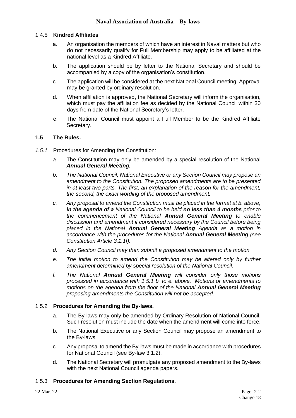#### 1.4.5 **Kindred Affiliates**

- a. An organisation the members of which have an interest in Naval matters but who do not necessarily qualify for Full Membership may apply to be affiliated at the national level as a Kindred Affiliate.
- b. The application should be by letter to the National Secretary and should be accompanied by a copy of the organisation's constitution.
- c. The application will be considered at the next National Council meeting. Approval may be granted by ordinary resolution.
- d. When affiliation is approved, the National Secretary will inform the organisation, which must pay the affiliation fee as decided by the National Council within 30 days from date of the National Secretary's letter.
- e. The National Council must appoint a Full Member to be the Kindred Affiliate Secretary.

#### **1.5 The Rules.**

- *1.5.1* Procedures for Amending the Constitution*:*
	- *a.* The Constitution may only be amended by a special resolution of the National *Annual General Meeting.*
	- *b. The National Council, National Executive or any Section Council may propose an amendment to the Constitution. The proposed amendments are to be presented in at least two parts. The first, an explanation of the reason for the amendment, the second, the exact wording of the proposed amendment.*
	- *c. Any proposal to amend the Constitution must be placed in the format at b. above, in the agenda of a National Council to be held no less than 4 months prior to the commencement of the National Annual General Meeting to enable discussion and amendment if considered necessary by the Council before being placed in the National Annual General Meeting Agenda as a motion in accordance with the procedures for the National Annual General Meeting (see Constitution Article 3.1.1f).*
	- *d. Any Section Council may then submit a proposed amendment to the motion.*
	- *e. The initial motion to amend the Constitution may be altered only by further amendment determined by special resolution of the National Council.*
	- *f. The National Annual General Meeting will consider only those motions processed in accordance with 1.5.1 b. to e. above. Motions or amendments to motions on the agenda from the floor of the National Annual General Meeting proposing amendments the Constitution will not be accepted.*

#### 1.5.2 **Procedures for Amending the By-laws.**

- a. The By-laws may only be amended by Ordinary Resolution of National Council. Such resolution must include the date when the amendment will come into force.
- b. The National Executive or any Section Council may propose an amendment to the By-laws.
- c. Any proposal to amend the By-laws must be made in accordance with procedures for National Council (see By-law 3.1.2).
- d. The National Secretary will promulgate any proposed amendment to the By-laws with the next National Council agenda papers.

#### 1.5.3 **Procedures for Amending Section Regulations.**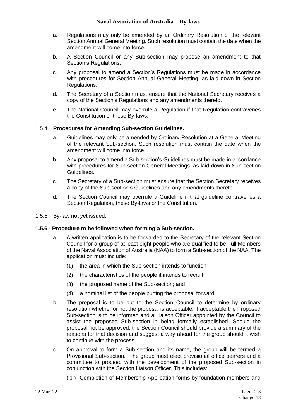- a. Regulations may only be amended by an Ordinary Resolution of the relevant Section Annual General Meeting. Such resolution must contain the date when the amendment will come into force.
- b. A Section Council or any Sub-section may propose an amendment to that Section's Regulations.
- c. Any proposal to amend a Section's Regulations must be made in accordance with procedures for Section Annual General Meeting, as laid down in Section Regulations.
- d. The Secretary of a Section must ensure that the National Secretary receives a copy of the Section's Regulations and any amendments thereto.
- e. The National Council may overrule a Regulation if that Regulation contravenes the Constitution or these By-laws.

#### 1.5.4. **Procedures for Amending Sub-section Guidelines.**

- a. Guidelines may only be amended by Ordinary Resolution at a General Meeting of the relevant Sub-section. Such resolution must contain the date when the amendment will come into force.
- b. Any proposal to amend a Sub-section's Guidelines must be made in accordance with procedures for Sub-section General Meetings, as laid down in Sub-section Guidelines.
- c. The Secretary of a Sub-section must ensure that the Section Secretary receives a copy of the Sub-section's Guidelines and any amendments thereto.
- d. The Section Council may overrule a Guideline if that guideline contravenes a Section Regulation, these By-laws or the Constitution.
- 1.5.5 By-law not yet issued.

#### **1.5.6 - Procedure to be followed when forming a Sub-section.**

- a. A written application is to be forwarded to the Secretary of the relevant Section Council for a group of at least eight people who are qualified to be Full Members of the Naval Association of Australia (NAA) to form a Sub-section of the NAA. The application must include;
	- (1) the area in which the Sub-section intends to function
	- (2) the characteristics of the people it intends to recruit;
	- (3) the proposed name of the Sub-section; and
	- (4) a nominal list of the people putting the proposal forward.
- b. The proposal is to be put to the Section Council to determine by ordinary resolution whether or not the proposal is acceptable. If acceptable the Proposed Sub-section is to be informed and a Liaison Officer appointed by the Council to assist the proposed Sub-section in being formally established. Should the proposal not be approved, the Section Council should provide a summary of the reasons for that decision and suggest a way ahead for the group should it wish to continue with the process.
- c. On approval to form a Sub-section and its name, the group will be termed a Provisional Sub-section. The group must elect provisional office bearers and a committee to proceed with the development of the proposed Sub-section in conjunction with the Section Liaison Officer. This includes:
	- ( 1 ) Completion of Membership Application forms by foundation members and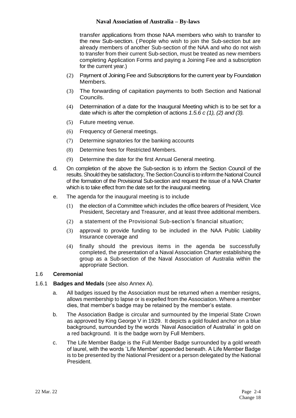transfer applications from those NAA members who wish to transfer to the new Sub-section. ( People who wish to join the Sub-section but are already members of another Sub-section of the NAA and who do not wish to transfer from their current Sub-section, must be treated as new members completing Application Forms and paying a Joining Fee and a subscription for the current year.)

- (2) Payment of Joining Fee and Subscriptions for the current year by Foundation Members.
- (3) The forwarding of capitation payments to both Section and National Councils.
- (4) Determination of a date for the Inaugural Meeting which is to be set for a date which is after the completion of actions *1.5.6 c (1), (2) and (3).*
- (5) Future meeting venue.
- (6) Frequency of General meetings.
- (7) Determine signatories for the banking accounts
- (8) Determine fees for Restricted Members.
- (9) Determine the date for the first Annual General meeting.
- d. On completion of the above the Sub-section is to inform the Section Council of the results. Should they be satisfactory, The Section Council is to inform the National Council of the formation of the Provisional Sub-section and request the issue of a NAA Charter which is to take effect from the date set for the inaugural meeting.
- e. The agenda for the inaugural meeting is to include
	- (1) the election of a Committee which includes the office bearers of President, Vice President, Secretary and Treasurer, and at least three additional members.
	- (2) a statement of the Provisional Sub-section's financial situation;
	- (3) approval to provide funding to be included in the NAA Public Liability Insurance coverage and
	- (4) finally should the previous items in the agenda be successfully completed, the presentation of a Naval Association Charter establishing the group as a Sub-section of the Naval Association of Australia within the appropriate Section.

#### 1.6 **Ceremonial**

#### 1.6.1 **Badges and Medals** (see also Annex A).

- a. All badges issued by the Association must be returned when a member resigns, allows membership to lapse or is expelled from the Association. Where a member dies, that member's badge may be retained by the member's estate.
- b. The Association Badge is circular and surmounted by the Imperial State Crown as approved by King George V in 1929. It depicts a gold fouled anchor on a blue background, surrounded by the words `Naval Association of Australia' in gold on a red background. It is the badge worn by Full Members.
- c. The Life Member Badge is the Full Member Badge surrounded by a gold wreath of laurel, with the words `Life Member' appended beneath. A Life Member Badge is to be presented by the National President or a person delegated by the National President.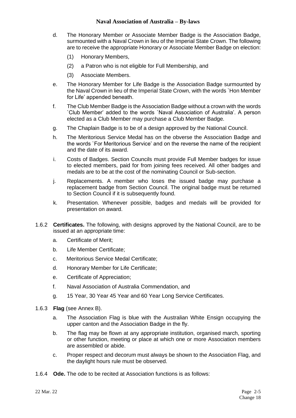- d. The Honorary Member or Associate Member Badge is the Association Badge, surmounted with a Naval Crown in lieu of the Imperial State Crown. The following are to receive the appropriate Honorary or Associate Member Badge on election:
	- (1) Honorary Members,
	- (2) a Patron who is not eligible for Full Membership, and
	- (3) Associate Members.
- e. The Honorary Member for Life Badge is the Association Badge surmounted by the Naval Crown in lieu of the Imperial State Crown, with the words `Hon Member for Life' appended beneath.
- f. The Club Member Badge is the Association Badge without a crown with the words `Club Member' added to the words `Naval Association of Australia'. A person elected as a Club Member may purchase a Club Member Badge.
- g. The Chaplain Badge is to be of a design approved by the National Council.
- h. The Meritorious Service Medal has on the obverse the Association Badge and the words `For Meritorious Service' and on the reverse the name of the recipient and the date of its award.
- i. Costs of Badges. Section Councils must provide Full Member badges for issue to elected members, paid for from joining fees received. All other badges and medals are to be at the cost of the nominating Council or Sub-section.
- j. Replacements. A member who loses the issued badge may purchase a replacement badge from Section Council. The original badge must be returned to Section Council if it is subsequently found.
- k. Presentation. Whenever possible, badges and medals will be provided for presentation on award.
- 1.6.2 **Certificates.** The following, with designs approved by the National Council, are to be issued at an appropriate time:
	- a. Certificate of Merit;
	- b. Life Member Certificate;
	- c. Meritorious Service Medal Certificate;
	- d. Honorary Member for Life Certificate;
	- e. Certificate of Appreciation;
	- f. Naval Association of Australia Commendation, and
	- g. 15 Year, 30 Year 45 Year and 60 Year Long Service Certificates.
- 1.6.3 **Flag** (see Annex B).
	- a. The Association Flag is blue with the Australian White Ensign occupying the upper canton and the Association Badge in the fly.
	- b. The flag may be flown at any appropriate institution, organised march, sporting or other function, meeting or place at which one or more Association members are assembled or abide.
	- c. Proper respect and decorum must always be shown to the Association Flag, and the daylight hours rule must be observed.
- 1.6.4 **Ode.** The ode to be recited at Association functions is as follows: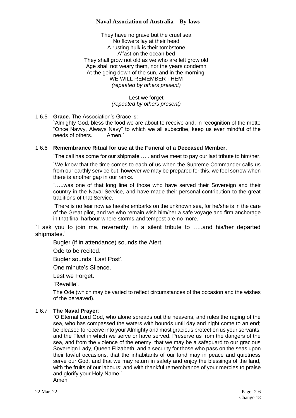They have no grave but the cruel sea No flowers lay at their head A rusting hulk is their tombstone A'fast on the ocean bed They shall grow not old as we who are left grow old Age shall not weary them, nor the years condemn At the going down of the sun, and in the morning, WE WILL REMEMBER THEM *(repeated by others present)*

> Lest we forget *(repeated by others present)*

#### 1.6.5 **Grace.** The Association's Grace is:

`Almighty God, bless the food we are about to receive and, in recognition of the motto "Once Navvy, Always Navy" to which we all subscribe, keep us ever mindful of the needs of others. Amen.'

#### 1.6.6 **Remembrance Ritual for use at the Funeral of a Deceased Member.**

`The call has come for our shipmate ….. and we meet to pay our last tribute to him/her.

`We know that the time comes to each of us when the Supreme Commander calls us from our earthly service but, however we may be prepared for this, we feel sorrow when there is another gap in our ranks.

`…..was one of that long line of those who have served their Sovereign and their country in the Naval Service, and have made their personal contribution to the great traditions of that Service.

`There is no fear now as he/she embarks on the unknown sea, for he/she is in the care of the Great pilot, and we who remain wish him/her a safe voyage and firm anchorage in that final harbour where storms and tempest are no more.

`I ask you to join me, reverently, in a silent tribute to …..and his/her departed shipmates.'

Bugler (if in attendance) sounds the Alert.

Ode to be recited.

Bugler sounds `Last Post'.

One minute's Silence.

Lest we Forget.

`Reveille'.

The Ode (which may be varied to reflect circumstances of the occasion and the wishes of the bereaved).

#### 1.6.7 **The Naval Prayer**:

`O Eternal Lord God, who alone spreads out the heavens, and rules the raging of the sea, who has compassed the waters with bounds until day and night come to an end; be pleased to receive into your Almighty and most gracious protection us your servants, and the Fleet in which we serve or have served. Preserve us from the dangers of the sea, and from the violence of the enemy; that we may be a safeguard to our gracious Sovereign Lady, Queen Elizabeth, and a security for those who pass on the seas upon their lawful occasions, that the inhabitants of our land may in peace and quietness serve our God, and that we may return in safety and enjoy the blessings of the land, with the fruits of our labours; and with thankful remembrance of your mercies to praise and glorify your Holy Name.' Amen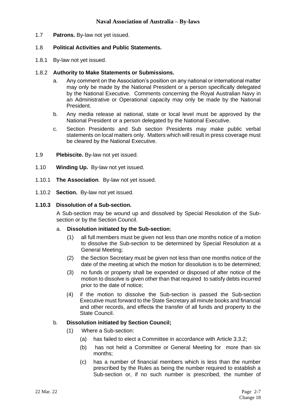1.7 **Patrons.** By-law not yet issued.

#### 1.8 **Political Activities and Public Statements.**

1.8.1 By-law not yet issued.

#### 1.8.2 **Authority to Make Statements or Submissions.**

- a. Any comment on the Association's position on any national or international matter may only be made by the National President or a person specifically delegated by the National Executive. Comments concerning the Royal Australian Navy in an Administrative or Operational capacity may only be made by the National President.
- b. Any media release at national, state or local level must be approved by the National President or a person delegated by the National Executive.
- c. Section Presidents and Sub section Presidents may make public verbal statements on local matters only. Matters which will result in press coverage must be cleared by the National Executive.
- 1.9 **Plebiscite.** By-law not yet issued.
- 1.10 **Winding Up.** By-law not yet issued.
- 1.10.1 **The Association**. By-law not yet issued.
- 1.10.2 **Section.** By-law not yet issued.

#### **1.10.3 Dissolution of a Sub-section.**

A Sub-section may be wound up and dissolved by Special Resolution of the Subsection or by the Section Council.

#### a. **Dissolution initiated by the Sub-section**;

- (1) all full members must be given not less than one months notice of a motion to dissolve the Sub-section to be determined by Special Resolution at a General Meeting;
- (2) the Section Secretary must be given not less than one months notice of the date of the meeting at which the motion for dissolution is to be determined;
- (3) no funds or property shall be expended or disposed of after notice of the motion to dissolve is given other than that required to satisfy debts incurred prior to the date of notice;
- (4) if the motion to dissolve the Sub-section is passed the Sub-section Executive must forward to the State Secretary all minute books and financial and other records, and effects the transfer of all funds and property to the State Council.

#### b. **Dissolution initiated by Section Council;**

- (1) Where a Sub-section:
	- (a) has failed to elect a Committee in accordance with Article 3.3.2;
	- (b) has not held a Committee or General Meeting for more than six months;
	- (c) has a number of financial members which is less than the number prescribed by the Rules as being the number required to establish a Sub-section or, if no such number is prescribed, the number of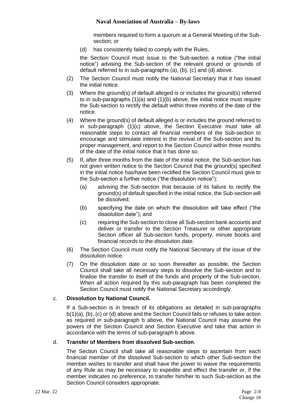members required to form a quorum at a General Meeting of the Subsection; or

(d) has consistently failed to comply with the Rules,

the Section Council must issue to the Sub-section a notice ("the initial notice") advising the Sub-section of the relevant ground or grounds of default referred to in sub-paragraphs (a), (b), (c) and (d) above.

- (2) The Section Council must notify the National Secretary that it has issued the initial notice.
- (3) Where the ground(s) of default alleged is or includes the ground(s) referred to in sub-paragraphs (1)(a) and (1)(b) above, the initial notice must require the Sub-section to rectify the default within three months of the date of the notice.
- (4) Where the ground(s) of default alleged is or includes the ground referred to in sub-paragraph (1)(c) above, the Section Executive must take all reasonable steps to contact all financial members of the Sub-section to encourage and stimulate interest in the revival of the Sub-section and its proper management, and report to the Section Council within three months of the date of the initial notice that it has done so.
- (5) If, after three months from the date of the initial notice, the Sub-section has not given written notice to the Section Council that the ground(s) specified in the initial notice has/have been rectified the Section Council must give to the Sub-section a further notice ("the dissolution notice"):
	- (a) advising the Sub-section that because of its failure to rectify the ground(s) of default specified in the initial notice, the Sub-section will be dissolved;
	- (b) specifying the date on which the dissolution will take effect ("the dissolution date"); and
	- (c) requiring the Sub-section to close all Sub-section bank accounts and deliver or transfer to the Section Treasurer or other appropriate Section officer all Sub-section funds, property, minute books and financial records to the dissolution date.
- (6) The Section Council must notify the National Secretary of the issue of the dissolution notice.
- (7) On the dissolution date or so soon thereafter as possible, the Section Council shall take all necessary steps to dissolve the Sub-section and to finalise the transfer to itself of the funds and property of the Sub-section. When all action required by this sub-paragraph has been completed the Section Council must notify the National Secretary accordingly.

#### c. **Dissolution by National Council.**

If a Sub-section is in breach of its obligations as detailed in sub-paragraphs b(1)(a), (b), (c) or (d) above and the Section Council fails or refuses to take action as required in sub-paragraph b above, the National Council may assume the powers of the Section Council and Section Executive and take that action in accordance with the terms of sub-paragraph b above.

#### d. **Transfer of Members from dissolved Sub-section**.

The Section Council shall take all reasonable steps to ascertain from each financial member of the dissolved Sub-section to which other Sub-section the member wishes to transfer and shall have the power to waive the requirements of any Rule as may be necessary to expedite and effect the transfer or, if the member indicates no preference, to transfer him/her to such Sub-section as the Section Council considers appropriate.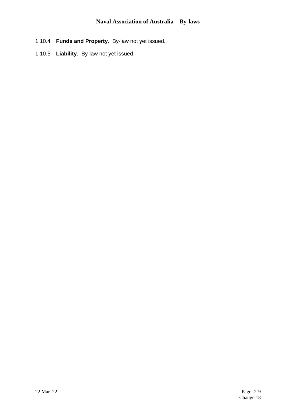- 1.10.4 **Funds and Property**. By-law not yet issued.
- 1.10.5 **Liability**. By-law not yet issued.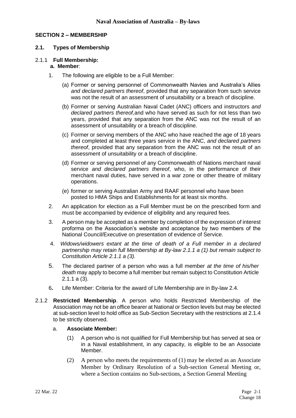#### **SECTION 2 – MEMBERSHIP**

#### **2.1. Types of Membership**

#### 2.1.1 **Full Membership:**

#### **a. Member**:

- 1. The following are eligible to be a Full Member:
	- (a) Former or serving personnel of Commonwealth Navies and Australia's Allies *and declared partners thereof*, provided that any separation from such service was not the result of an assessment of unsuitability or a breach of discipline.
	- (b) Former or serving Australian Naval Cadet (ANC) officers and instructors *and declared partners thereof,*and who have served as such for not less than two years, provided that any separation from the ANC was not the result of an assessment of unsuitability or a breach of discipline.
	- (c) Former or serving members of the ANC who have reached the age of 18 years and completed at least three years service in the ANC, *and declared partners thereof*, provided that any separation from the ANC was not the result of an assessment of unsuitability or a breach of discipline.
	- (d) Former or serving personnel of any Commonwealth of Nations merchant naval service *and declared partners thereof*, who, in the performance of their merchant naval duties, have served in a war zone or other theatre of military operations.
	- (e) former or serving Australian Army and RAAF personnel who have been posted to HMA Ships and Establishments for at least six months.
- 2. An application for election as a Full Member must be on the prescribed form and must be accompanied by evidence of eligibility and any required fees.
- 3. A person may be accepted as a member by completion of the expression of interest proforma on the Association's website and acceptance by two members of the National Council/Executive on presentation of evidence of Service.
- 4. *Widows/widowers extant at the time of death of a Full member in a declared partnership may retain full Membership at By-law 2.1.1 a (1) but remain subject to Constitution Article 2.1.1 a (3).*
- 5. The declared partner of a person who was a full member *at the time of his/her death* may apply to become a full member but remain subject to Constitution Article 2.1.1 a (3).
- 6**.** Life Member: Criteria for the award of Life Membership are in By-law 2.4.
- 2.1.2 **Restricted Membership**. A person who holds Restricted Membership of the Association may not be an office bearer at National or Section levels but may be elected at sub-section level to hold office as Sub-Section Secretary with the restrictions at 2.1.4 to be strictly observed.

#### a. **Associate Member:**

- (1) A person who is not qualified for Full Membership but has served at sea or in a Naval establishment, in any capacity, is eligible to be an Associate Member.
- (2) A person who meets the requirements of (1) may be elected as an Associate Member by Ordinary Resolution of a Sub-section General Meeting or, where a Section contains no Sub-sections, a Section General Meeting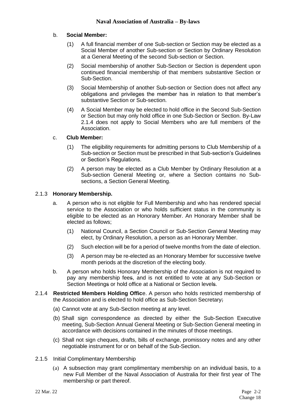#### b. **Social Member:**

- (1) A full financial member of one Sub-section or Section may be elected as a Social Member of another Sub-section or Section by Ordinary Resolution at a General Meeting of the second Sub-section or Section.
- (2) Social membership of another Sub-Section or Section is dependent upon continued financial membership of that members substantive Section or Sub-Section.
- (3) Social Membership of another Sub-section or Section does not affect any obligations and privileges the member has in relation to that member's substantive Section or Sub-section.
- (4) A Social Member may be elected to hold office in the Second Sub-Section or Section but may only hold office in one Sub-Section or Section. By-Law 2.1.4 does not apply to Social Members who are full members of the Association.

#### c. **Club Member:**

- (1) The eligibility requirements for admitting persons to Club Membership of a Sub-section or Section must be prescribed in that Sub-section's Guidelines or Section's Regulations.
- (2) A person may be elected as a Club Member by Ordinary Resolution at a Sub-section General Meeting or, where a Section contains no Subsections, a Section General Meeting.

#### 2.1.3 **Honorary Membership.**

- a. A person who is not eligible for Full Membership and who has rendered special service to the Association or who holds sufficient status in the community is eligible to be elected as an Honorary Member. An Honorary Member shall be elected as follows;
	- (1) National Council, a Section Council or Sub-Section General Meeting may elect, by Ordinary Resolution, a person as an Honorary Member.
	- (2) Such election will be for a period of twelve months from the date of election.
	- (3) A person may be re-elected as an Honorary Member for successive twelve month periods at the discretion of the electing body.
- b. A person who holds Honorary Membership of the Association is not required to pay any membership fees, and is not entitled to vote at any Sub-Section or Section Meetings or hold office at a National or Section levels.
- 2.1.4 **Restricted Members Holding Offic**e. A person who holds restricted membership of the Association and is elected to hold office as Sub-Section Secretary;
	- (a) Cannot vote at any Sub-Section meeting at any level.
	- (b) Shall sign correspondence as directed by either the Sub-Section Executive meeting, Sub-Section Annual General Meeting or Sub-Section General meeting in accordance with decisions contained in the minutes of those meetings.
	- (c) Shall not sign cheques, drafts, bills of exchange, promissory notes and any other negotiable instrument for or on behalf of the Sub-Section.
- 2.1.5 Initial Complimentary Membership
	- (a) A subsection may grant complimentary membership on an individual basis, to a new Full Member of the Naval Association of Australia for their first year of The membership or part thereof.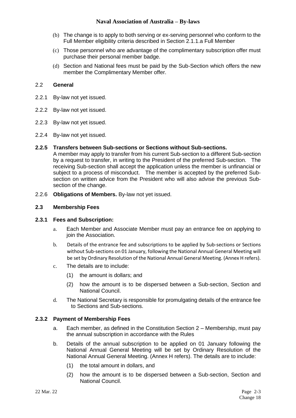- (b) The change is to apply to both serving or ex-serving personnel who conform to the Full Member eligibility criteria described in Section 2.1.1.a Full Member
- (c) Those personnel who are advantage of the complimentary subscription offer must purchase their personal member badge.
- (d) Section and National fees must be paid by the Sub-Section which offers the new member the Complimentary Member offer.

#### 2.2 **General**

- 2.2.1 By-law not yet issued.
- 2.2.2 By-law not yet issued.
- 2.2.3 By-law not yet issued.
- 2.2.4 By-law not yet issued.

#### **2.2.5 Transfers between Sub-sections or Sections without Sub-sections.**

A member may apply to transfer from his current Sub-section to a different Sub-section by a request to transfer, in writing to the President of the preferred Sub-section. The receiving Sub-section shall accept the application unless the member is unfinancial or subject to a process of misconduct. The member is accepted by the preferred Subsection on written advice from the President who will also advise the previous Subsection of the change.

2.2.6 **Obligations of Members.** By-law not yet issued.

#### **2.3 Membership Fees**

#### **2.3.1 Fees and Subscription:**

- a. Each Member and Associate Member must pay an entrance fee on applying to join the Association.
- b. Details of the entrance fee and subscriptions to be applied by Sub-sections or Sections without Sub-sections on 01 January, following the National Annual General Meeting will be set by Ordinary Resolution of the National Annual General Meeting. (Annex H refers).
- c. The details are to include:
	- (1) the amount is dollars; and
	- (2) how the amount is to be dispersed between a Sub-section, Section and National Council.
- d. The National Secretary is responsible for promulgating details of the entrance fee to Sections and Sub-sections.

#### **2.3.2 Payment of Membership Fees**

- a. Each member, as defined in the Constitution Section 2 Membership, must pay the annual subscription in accordance with the Rules
- b. Details of the annual subscription to be applied on 01 January following the National Annual General Meeting will be set by Ordinary Resolution of the National Annual General Meeting. (Annex H refers). The details are to include:
	- (1) the total amount in dollars, and
	- (2) how the amount is to be dispersed between a Sub-section, Section and National Council.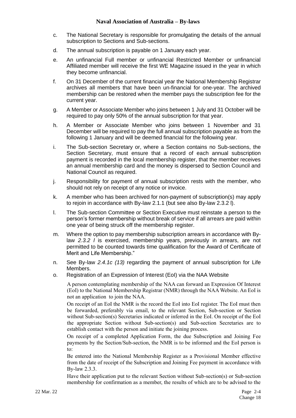- c. The National Secretary is responsible for promulgating the details of the annual subscription to Sections and Sub-sections.
- d. The annual subscription is payable on 1 January each year.
- e. An unfinancial Full member or unfinancial Restricted Member or unfinancial Affiliated member will receive the first WE Magazine issued in the year in which they become unfinancial.
- f. On 31 December of the current financial year the National Membership Registrar archives all members that have been un-financial for one-year. The archived membership can be restored when the member pays the subscription fee for the current year.
- g. A Member or Associate Member who joins between 1 July and 31 October will be required to pay only 50% of the annual subscription for that year.
- h. A Member or Associate Member who joins between 1 November and 31 December will be required to pay the full annual subscription payable as from the following 1 January and will be deemed financial for the following year.
- i. The Sub-section Secretary or, where a Section contains no Sub-sections, the Section Secretary, must ensure that a record of each annual subscription payment is recorded in the local membership register, that the member receives an annual membership card and the money is dispersed to Section Council and National Council as required.
- j. Responsibility for payment of annual subscription rests with the member, who should not rely on receipt of any notice or invoice.
- k. A member who has been archived for non-payment of subscription(s) may apply to rejoin in accordance with By-law 2.1.1 (but see also By-law 2.3.2 l).
- l. The Sub-section Committee or Section Executive must reinstate a person to the person's former membership without break of service if all arrears are paid within one year of being struck off the membership register.
- m. Where the option to pay membership subscription arrears in accordance with Bylaw *2.3.2 l* is exercised, membership years, previously in arrears, are not permitted to be counted towards time qualification for the Award of Certificate of Merit and Life Membership."
- n. See By-law *2.4.1c (13)* regarding the payment of annual subscription for Life Members.
- o. Registration of an Expression of Interest (EoI) via the NAA Website

A person contemplating membership of the NAA can forward an Expression Of Interest (EoI) to the National Membership Registrar (NMR) through the NAA Website. An EoI is not an application to join the NAA.

On receipt of an EoI the NMR is the record the EoI into EoI register. The EoI must then be forwarded, preferably via email, to the relevant Section, Sub-section or Section without Sub-section(s) Secretaries indicated or inferred in the EoI. On receipt of the EoI the appropriate Section without Sub-section(s) and Sub-section Secretaries are to establish contact with the person and initiate the joining process.

On receipt of a completed Application Form, the due Subscription and Joining Fee payments by the Section/Sub-section, the NMR is to be informed and the EoI person is to:

Be entered into the National Membership Register as a Provisional Member effective from the date of receipt of the Subscription and Joining Fee payment in accordance with By-law 2.3.3.

Have their application put to the relevant Section without Sub-section(s) or Sub-section membership for confirmation as a member, the results of which are to be advised to the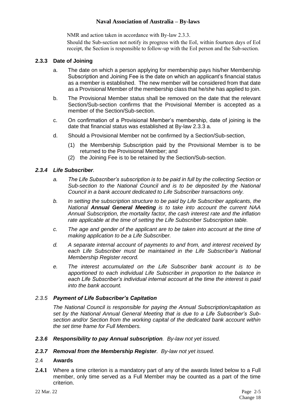NMR and action taken in accordance with By-law 2.3.3.

Should the Sub-section not notify its progress with the EoI, within fourteen days of EoI receipt, the Section is responsible to follow-up with the EoI person and the Sub-section.

#### **2.3.3 Date of Joining**

- a. The date on which a person applying for membership pays his/her Membership Subscription and Joining Fee is the date on which an applicant's financial status as a member is established. The new member will be considered from that date as a Provisional Member of the membership class that he/she has applied to join.
- b. The Provisional Member status shall be removed on the date that the relevant Section/Sub-section confirms that the Provisional Member is accepted as a member of the Section/Sub-section.
- c. On confirmation of a Provisional Member's membership, date of joining is the date that financial status was established at By-law 2.3.3 a.
- d. Should a Provisional Member not be confirmed by a Section/Sub-section,
	- (1) the Membership Subscription paid by the Provisional Member is to be returned to the Provisional Member; and
	- (2) the Joining Fee is to be retained by the Section/Sub-section.

#### *2.3.4 Life Subscriber.*

- *a. The Life Subscriber's subscription is to be paid in full by the collecting Section or Sub-section to the National Council and is to be deposited by the National Council in a bank account dedicated to Life Subscriber transactions only.*
- *b. In setting the subscription structure to be paid by Life Subscriber applicants, the National Annual General Meeting is to take into account the current NAA Annual Subscription, the mortality factor, the cash interest rate and the inflation rate applicable at the time of setting the Life Subscriber Subscription table.*
- *c. The age and gender of the applicant are to be taken into account at the time of making application to be a Life Subscriber.*
- *d. A separate internal account of payments to and from, and interest received by*  each Life Subscriber must be maintained in the Life Subscriber's National *Membership Register record.*
- *e. The interest accumulated on the Life Subscriber bank account is to be apportioned to each individual Life Subscriber in proportion to the balance in each Life Subscriber's individual internal account at the time the interest is paid into the bank account.*

#### *2.3.5 Payment of Life Subscriber's Capitation*

*The National Council is responsible for paying the Annual Subscription/capitation as set by the National Annual General Meeting that is due to a Life Subscriber's Subsection and/or Section from the working capital of the dedicated bank account within the set time frame for Full Members.*

- *2.3.6 Responsibility to pay Annual subscription. By-law not yet issued.*
- *2.3.7 Removal from the Membership Register. By-law not yet issued.*

#### 2.4 **Awards**

**2.4.1** Where a time criterion is a mandatory part of any of the awards listed below to a Full member, only time served as a Full Member may be counted as a part of the time criterion.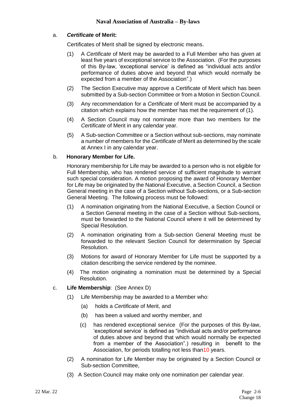#### a. *Certificate* **of Merit:**

Certificates of Merit shall be signed by electronic means.

- (1) A *Certificate* of Merit may be awarded to a Full Member who has given at least five years of exceptional service to the Association. (For the purposes of this By-law, 'exceptional service' is defined as "individual acts and/or performance of duties above and beyond that which would normally be expected from a member of the Association".)
- (2) The Section Executive may approve a Certificate of Merit which has been submitted by a Sub-section Committee or from a Motion in Section Council.
- (3) Any recommendation for a *Certificate* of Merit must be accompanied by a citation which explains how the member has met the requirement of (1).
- (4) A Section Council may not nominate more than two members for the *Certificate* of Merit in any calendar year.
- (5) A Sub-section Committee or a Section without sub-sections, may nominate a number of members for the *Certificate* of Merit as determined by the scale at Annex I in any calendar year.

#### b. **Honorary Member for Life.**

Honorary membership for Life may be awarded to a person who is not eligible for Full Membership, who has rendered service of sufficient magnitude to warrant such special consideration. A motion proposing the award of Honorary Member for Life may be originated by the National Executive, a Section Council, a Section General meeting in the case of a Section without Sub-sections, or a Sub-section General Meeting. The following process must be followed:

- (1) A nomination originating from the National Executive, a Section Council or a Section General meeting in the case of a Section without Sub-sections, must be forwarded to the National Council where it will be determined by Special Resolution.
- (2) A nomination originating from a Sub-section General Meeting must be forwarded to the relevant Section Council for determination by Special Resolution.
- (3) Motions for award of Honorary Member for Life must be supported by a citation describing the service rendered by the nominee.
- (4) The motion originating a nomination must be determined by a Special Resolution.
- c. **Life Membership**: (See Annex D)
	- (1) Life Membership may be awarded to a Member who:
		- (a) holds a *Certificate* of Merit, and
		- (b) has been a valued and worthy member, and
		- (c) has rendered exceptional service (For the purposes of this By-law, 'exceptional service' is defined as "individual acts and/or performance of duties above and beyond that which would normally be expected from a member of the Association".) resulting in benefit to the Association, for periods totalling not less than10 years.
	- (2) A nomination for Life Member may be originated by a Section Council or Sub-section Committee,
	- (3) A Section Council may make only one nomination per calendar year.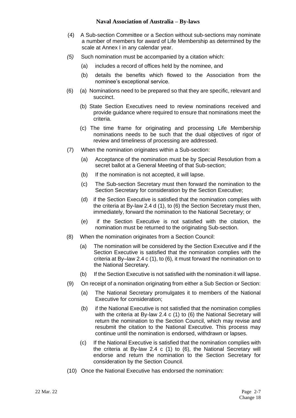- (4) A Sub-section Committee or a Section without sub-sections may nominate a number of members for award of Life Membership as determined by the scale at Annex I in any calendar year.
- *(5)* Such nomination must be accompanied by a citation which:
	- (a) includes a record of offices held by the nominee, and
	- (b) details the benefits which flowed to the Association from the nominee's exceptional service.
- (6) (a) Nominations need to be prepared so that they are specific, relevant and succinct.
	- (b) State Section Executives need to review nominations received and provide guidance where required to ensure that nominations meet the criteria.
	- (c) The time frame for originating and processing Life Membership nominations needs to be such that the dual objectives of rigor of review and timeliness of processing are addressed.
- (7) When the nomination originates within a Sub-section:
	- (a) Acceptance of the nomination must be by Special Resolution from a secret ballot at a General Meeting of that Sub-section;
	- (b) If the nomination is not accepted, it will lapse.
	- (c) The Sub-section Secretary must then forward the nomination to the Section Secretary for consideration by the Section Executive;
	- (d) if the Section Executive is satisfied that the nomination complies with the criteria at By-law 2.4 d (1), to (6) the Section Secretary must then, immediately, forward the nomination to the National Secretary; or
	- (e) if the Section Executive is not satisfied with the citation, the nomination must be returned to the originating Sub-section.
- (8) When the nomination originates from a Section Council:
	- (a) The nomination will be considered by the Section Executive and if the Section Executive is satisfied that the nomination complies with the criteria at By–law 2.4 c (1), to (6)*,* it must forward the nomination on to the National Secretary.
	- (b) If the Section Executive is not satisfied with the nomination it will lapse.
- (9) On receipt of a nomination originating from either a Sub Section or Section:
	- (a) The National Secretary promulgates it to members of the National Executive for consideration;
	- (b) if the National Executive is not satisfied that the nomination complies with the criteria at By-law 2.4 c (1) to (6) the National Secretary will return the nomination to the Section Council, which may revise and resubmit the citation to the National Executive. This process may continue until the nomination is endorsed, withdrawn or lapses.
	- (c) If the National Executive is satisfied that the nomination complies with the criteria at By-law 2.4 c (1) to (6), the National Secretary will endorse and return the nomination to the Section Secretary for consideration by the Section Council.
- (10) Once the National Executive has endorsed the nomination: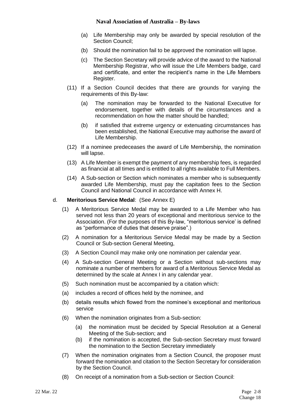- (a) Life Membership may only be awarded by special resolution of the Section Council;
- (b) Should the nomination fail to be approved the nomination will lapse.
- (c) The Section Secretary will provide advice of the award to the National Membership Registrar, who will issue the Life Members badge, card and certificate, and enter the recipient's name in the Life Members Register.
- (11) If a Section Council decides that there are grounds for varying the requirements of this By-law:
	- (a) The nomination may be forwarded to the National Executive for endorsement, together with details of the circumstances and a recommendation on how the matter should be handled;
	- (b) if satisfied that extreme urgency or extenuating circumstances has been established, the National Executive may authorise the award of Life Membership.
- (12) If a nominee predeceases the award of Life Membership, the nomination will lapse.
- (13) A Life Member is exempt the payment of any membership fees, is regarded as financial at all times and is entitled to all rights available to Full Members.
- (14) A Sub-section or Section which nominates a member who is subsequently awarded Life Membership, must pay the capitation fees to the Section Council and National Council in accordance with Annex H.

#### d. **Meritorious Service Medal**: (See Annex E)

- (1) A Meritorious Service Medal may be awarded to a Life Member who has served not less than 20 years of exceptional and meritorious service to the Association. (For the purposes of this By-law, "meritorious service' is defined as "performance of duties that deserve praise".)
- (2) A nomination for a Meritorious Service Medal may be made by a Section Council or Sub-section General Meeting,
- (3) A Section Council may make only one nomination per calendar year.
- (4) A Sub-section General Meeting or a Section without sub-sections may nominate a number of members for award of a Meritorious Service Medal as determined by the scale at Annex I in any calendar year.
- (5) Such nomination must be accompanied by a citation which:
- (a) includes a record of offices held by the nominee, and
- (b) details results which flowed from the nominee's exceptional and meritorious service
- (6) When the nomination originates from a Sub-section:
	- (a) the nomination must be decided by Special Resolution at a General Meeting of the Sub-section; and
	- (b) if the nomination is accepted, the Sub-section Secretary must forward the nomination to the Section Secretary immediately
- (7) When the nomination originates from a Section Council, the proposer must forward the nomination and citation to the Section Secretary for consideration by the Section Council.
- (8) On receipt of a nomination from a Sub-section or Section Council: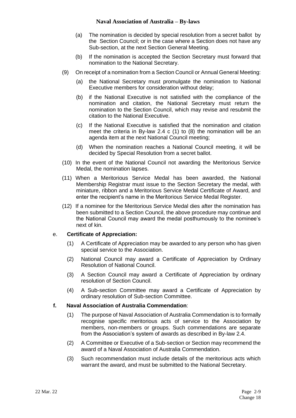- (a) The nomination is decided by special resolution from a secret ballot by the Section Council; or in the case where a Section does not have any Sub-section, at the next Section General Meeting.
- (b) If the nomination is accepted the Section Secretary must forward that nomination to the National Secretary.
- (9) On receipt of a nomination from a Section Council or Annual General Meeting:
	- (a) the National Secretary must promulgate the nomination to National Executive members for consideration without delay;
	- (b) if the National Executive is not satisfied with the compliance of the nomination and citation, the National Secretary must return the nomination to the Section Council, which may revise and resubmit the citation to the National Executive.
	- (c) If the National Executive is satisfied that the nomination and citation meet the criteria in By-law 2.4 c (1) to (8) the nomination will be an agenda item at the next National Council meeting;
	- (d) When the nomination reaches a National Council meeting, it will be decided by Special Resolution from a secret ballot.
- (10) In the event of the National Council not awarding the Meritorious Service Medal, the nomination lapses.
- (11) When a Meritorious Service Medal has been awarded, the National Membership Registrar must issue to the Section Secretary the medal, with miniature, ribbon and a Meritorious Service Medal Certificate of Award, and enter the recipient's name in the Meritorious Service Medal Register.
- (12) If a nominee for the Meritorious Service Medal dies after the nomination has been submitted to a Section Council, the above procedure may continue and the National Council may award the medal posthumously to the nominee's next of kin.

#### e. **Certificate of Appreciation:**

- (1) A Certificate of Appreciation may be awarded to any person who has given special service to the Association.
- (2) National Council may award a Certificate of Appreciation by Ordinary Resolution of National Council.
- (3) A Section Council may award a Certificate of Appreciation by ordinary resolution of Section Council.
- (4) A Sub-section Committee may award a Certificate of Appreciation by ordinary resolution of Sub-section Committee.

#### **f. Naval Association of Australia Commendation**:

- (1) The purpose of Naval Association of Australia Commendation is to formally recognise specific meritorious acts of service to the Association by members, non-members or groups. Such commendations are separate from the Association's system of awards as described in By-law 2.4.
- (2) A Committee or Executive of a Sub-section or Section may recommend the award of a Naval Association of Australia Commendation.
- (3) Such recommendation must include details of the meritorious acts which warrant the award, and must be submitted to the National Secretary.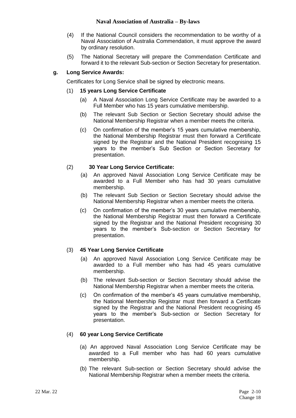- (4) If the National Council considers the recommendation to be worthy of a Naval Association of Australia Commendation, it must approve the award by ordinary resolution.
- (5) The National Secretary will prepare the Commendation Certificate and forward it to the relevant Sub-section or Section Secretary for presentation.

#### **g. Long Service Awards:**

Certificates for Long Service shall be signed by electronic means.

#### (1) **15 years Long Service Certificate**

- (a) A Naval Association Long Service Certificate may be awarded to a Full Member who has 15 years cumulative membership.
- (b) The relevant Sub Section or Section Secretary should advise the National Membership Registrar when a member meets the criteria.
- (c) On confirmation of the member's 15 years cumulative membership, the National Membership Registrar must then forward a Certificate signed by the Registrar and the National President recognising 15 years to the member's Sub Section or Section Secretary for presentation.

#### (2) **30 Year Long Service Certificate:**

- (a) An approved Naval Association Long Service Certificate may be awarded to a Full Member who has had 30 years cumulative membership.
- (b) The relevant Sub Section or Section Secretary should advise the National Membership Registrar when a member meets the criteria.
- (c) On confirmation of the member's 30 years cumulative membership, the National Membership Registrar must then forward a Certificate signed by the Registrar and the National President recognising 30 years to the member's Sub-section or Section Secretary for presentation.

#### (3) **45 Year Long Service Certificate**

- (a) An approved Naval Association Long Service Certificate may be awarded to a Full member who has had 45 years cumulative membership.
- (b) The relevant Sub-section or Section Secretary should advise the National Membership Registrar when a member meets the criteria.
- (c) On confirmation of the member's 45 years cumulative membership, the National Membership Registrar must then forward a Certificate signed by the Registrar and the National President recognising 45 years to the member's Sub-section or Section Secretary for presentation.

#### (4) **60 year Long Service Certificate**

- (a) An approved Naval Association Long Service Certificate may be awarded to a Full member who has had 60 years cumulative membership.
- (b) The relevant Sub-section or Section Secretary should advise the National Membership Registrar when a member meets the criteria.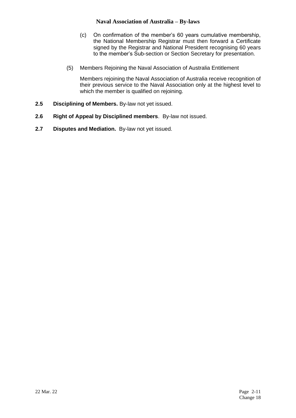- (c) On confirmation of the member's 60 years cumulative membership, the National Membership Registrar must then forward a Certificate signed by the Registrar and National President recognising 60 years to the member's Sub-section or Section Secretary for presentation.
- (5) Members Rejoining the Naval Association of Australia Entitlement

Members rejoining the Naval Association of Australia receive recognition of their previous service to the Naval Association only at the highest level to which the member is qualified on rejoining.

- **2.5 Disciplining of Members.** By-law not yet issued.
- **2.6 Right of Appeal by Disciplined members**. By-law not issued.
- **2.7 Disputes and Mediation.** By-law not yet issued.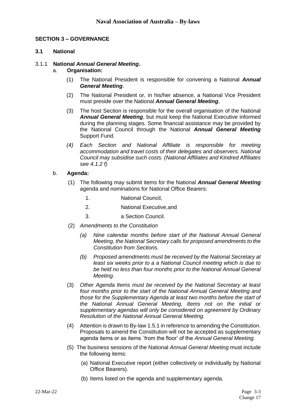#### **SECTION 3 – GOVERNANCE**

#### **3.1 National**

#### 3.1.1 **National** *Annual General Meeting***.**

#### a. **Organisation:**

- (1) The National President is responsible for convening a National *Annual General Meeting*.
- (2) The National President or, in his/her absence, a National Vice President must preside over the National *Annual General Meeting*,
- (3) The host Section is responsible for the overall organisation of the National *Annual General Meeting*, but must keep the National Executive informed during the planning stages. Some financial assistance may be provided by the National Council through the National *Annual General Meeting* Support Fund.
- *(4) Each Section and National Affiliate is responsible for meeting accommodation and travel costs of their delegates and observers. National Council may subsidise such costs. (National Affiliates and Kindred Affiliates see 4.1.2 f)*

#### b. **Agenda:**

- (1) The following may submit items for the National *Annual General Meeting* agenda and nominations for National Office Bearers:
	- 1. National Council,
	- 2. National Executive,and
	- 3. a Section Council.
- (2) *Amendments to the Constitution* 
	- *(a) Nine calendar months before start of the National Annual General Meeting, the National Secretary calls for proposed amendments to the Constitution from Sections.*
	- *(b) Proposed amendments must be received by the National Secretary at least six weeks prior to a a National Council meeting which is due to be held no less than four months prior to the National Annual General Meeting.*
- (3) *Other Agenda Items must be received by the National Secretary at least four months prior to the start of the National Annual General Meeting and those for the Supplementary Agenda at least two months before the start of the National Annual General Meeting. Items not on the initial or supplementary agendas will only be considered on agreement by Ordinary Resolution of the National Annual General Meeting*.
- (4) Attention is drawn to By-law 1.5.1 in reference to amending the Constitution. Proposals to amend the Constitution will not be accepted as supplementary agenda items or as items `from the floor' of the *Annual General Meeting*.
- (5) The business sessions of the National *Annual General Meeting* must include the following items:
	- (a) National Executive report (either collectively or individually by National Office Bearers).
	- (b) Items listed on the agenda and supplementary agenda.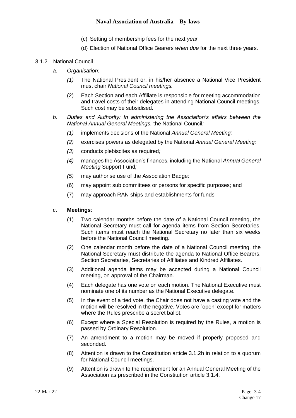- (c) Setting of membership fees for the next *year*
- (d) Election of National Office Bearers *when due* for the next three years.

#### 3.1.2 National Council

- *a. Organisation:*
	- *(1)* The National President or, in his/her absence a National Vice President must chair *National Council meetings.*
	- (2) Each Section and each Affiliate is responsible for meeting accommodation and travel costs of their delegates in attending National Council meetings. Such cost may be subsidised.
- *b. Duties and Authority: In administering the Association's affairs between the National Annual General Meetings,* the National Council*:*
	- *(1)* implements decisions of the National *Annual General Meeting;*
	- *(2)* exercises powers as delegated by the National *Annual General Meeting;*
	- *(3)* conducts plebiscites as required*;*
	- *(4)* manages the Association's finances, including the National *Annual General Meeting* Support Fund*;*
	- *(5)* may authorise use of the Association Badge*;*
	- (6) may appoint sub committees or persons for specific purposes; and
	- (7) may approach RAN ships and establishments for funds

#### c. **Meetings**:

- (1) Two calendar months before the date of a National Council meeting, the National Secretary must call for agenda items from Section Secretaries. Such items must reach the National Secretary no later than six weeks before the National Council meeting.
- (2) One calendar month before the date of a National Council meeting, the National Secretary must distribute the agenda to National Office Bearers, Section Secretaries, Secretaries of Affiliates and Kindred Affiliates.
- (3) Additional agenda items may be accepted during a National Council meeting, on approval of the Chairman.
- (4) Each delegate has one vote on each motion. The National Executive must nominate one of its number as the National Executive delegate.
- (5) In the event of a tied vote, the Chair does not have a casting vote and the motion will be resolved in the negative. Votes are `open' except for matters where the Rules prescribe a secret ballot.
- (6) Except where a Special Resolution is required by the Rules, a motion is passed by Ordinary Resolution.
- (7) An amendment to a motion may be moved if properly proposed and seconded.
- (8) Attention is drawn to the Constitution article 3.1.2h in relation to a quorum for National Council meetings.
- (9) Attention is drawn to the requirement for an Annual General Meeting of the Association as prescribed in the Constitution article 3.1.4.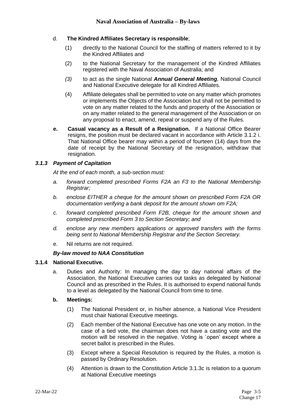#### d. **The Kindred Affiliates Secretary is responsible**;

- (1) directly to the National Council for the staffing of matters referred to it by the Kindred Affiliates and
- (2) to the National Secretary for the management of the Kindred Affiliates registered with the Naval Association of Australia; and
- *(3)* to act as the single National *Annual General Meeting,* National Council and National Executive delegate for all Kindred Affiliates*.*
- (4) Affiliate delegates shall be permitted to vote on any matter which promotes or implements the Objects of the Association but shall not be permitted to vote on any matter related to the funds and property of the Association or on any matter related to the general management of the Association or on any proposal to enact, amend, repeal or suspend any of the Rules.
- **e. Casual vacancy as a Result of a Resignation.** If a National Office Bearer resigns, the position must be declared vacant in accordance with Article 3.1.2 i. That National Office bearer may within a period of fourteen (14) days from the date of receipt by the National Secretary of the resignation, withdraw that resignation.

#### *3.1.3 Payment of Capitation*

*At the end of each month, a sub-section must:*

- *a. forward completed prescribed Forms F2A an F3 to the National Membership Registrar;*
- *b. enclose EITHER a cheque for the amount shown on prescribed Form F2A OR documentation verifying a bank deposit for the amount shown om F2A;*
- *c. forward completed prescribed Form F2B, cheque for the amount shown and completed prescribed Form 3 to Section Secretary; and*
- *d. enclose any new members applications or approved transfers with the forms being sent to National Membership Registrar and the Section Secretary.*
- e. Nil returns are not required.

#### *By-law moved to NAA Constitution*

#### **3.1.4 National Executive.**

a. Duties and Authority: In managing the day to day national affairs of the Association, the National Executive carries out tasks as delegated by National Council and as prescribed in the Rules. It is authorised to expend national funds to a level as delegated by the National Council from time to time.

#### **b. Meetings:**

- (1) The National President or, in his/her absence, a National Vice President must chair National Executive meetings.
- (2) Each member of the National Executive has one vote on any motion. In the case of a tied vote, the chairman does not have a casting vote and the motion will be resolved in the negative. Voting is `open' except where a secret ballot is prescribed in the Rules.
- (3) Except where a Special Resolution is required by the Rules, a motion is passed by Ordinary Resolution.
- (4) Attention is drawn to the Constitution Article 3.1.3c is relation to a quorum at National Executive meetings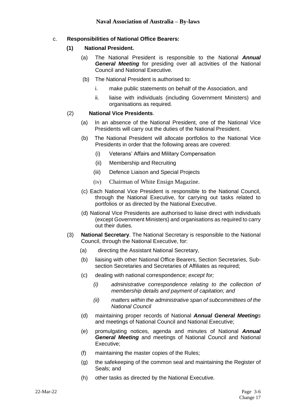#### c. **Responsibilities of National Office Bearers:**

#### **(1) National President.**

- (a) The National President is responsible to the National *Annual General Meeting* for presiding over all activities of the National Council and National Executive*.*
- (b) The National President is authorised to:
	- i. make public statements on behalf of the Association, and
	- ii. liaise with individuals (including Government Ministers) and organisations as required*.*

#### (2) **National Vice Presidents**.

- (a) In an absence of the National President, one of the National Vice Presidents will carry out the duties of the National President.
- (b) The National President will allocate portfolios to the National Vice Presidents in order that the following areas are covered:
	- (i) Veterans' Affairs and Military Compensation
	- (ii) Membership and Recruiting
	- (iii) Defence Liaison and Special Projects
	- (iv) Chairman of White Ensign Magazine.
- (c) Each National Vice President is responsible to the National Council, through the National Executive, for carrying out tasks related to portfolios or as directed by the National Executive.
- (d) National Vice Presidents are authorised to liaise direct with individuals (except Government Ministers) and organisations as required to carry out their duties.
- (3) **National Secretary**. The National Secretary is responsible to the National Council, through the National Executive, for:
	- (a) directing the Assistant National Secretary,
	- (b) liaising with other National Office Bearers, Section Secretaries, Subsection Secretaries and Secretaries of Affiliates as required;
	- (c) dealing with national correspondence; *except for;*
		- *(i) administrative correspondence relating to the collection of membership details and payment of capitation; and*
		- *(ii) matters within the administrative span of subcommittees of the National Council*
	- (d) maintaining proper records of National *Annual General Meetings*  and meetings of National Council and National Executive;
	- (e) promulgating notices, agenda and minutes of National *Annual General Meeting* and meetings of National Council and National Executive;
	- (f) maintaining the master copies of the Rules;
	- (g) the safekeeping of the common seal and maintaining the Register of Seals; and
	- (h) other tasks as directed by the National Executive.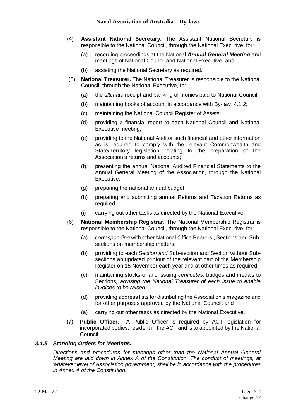- (4) **Assistant National Secretary.** The Assistant National Secretary is responsible to the National Council, through the National Executive, for:
	- (a) recording proceedings at the National *Annual General Meeting* and meetings of National Council and National Executive; and
	- (b) assisting the National Secretary as required.
- (5) **National Treasurer.** The National Treasurer is responsible to the National Council, through the National Executive, for:
	- (a) the *ultimate* receipt and banking of monies paid to National Council;
	- (b) maintaining books of account in accordance with By-law 4.1.2;
	- (c) maintaining the National Council Register of Assets;
	- (d) providing a financial report to each National Council and National Executive meeting;
	- (e) providing to the National Auditor such financial and other information as is required to comply with the relevant Commonwealth and State/Territory legislation relating to the preparation of the Association's returns and accounts;
	- (f) presenting the annual National Audited Financial Statements to the Annual General Meeting of the Association, through the National Executive;
	- (g) preparing the national annual budget;
	- (h) preparing and submitting annual Returns and Taxation Returns as required;
	- (i) carrying out other tasks as directed by the National Executive.
- (6) **National Membership Registrar**. The National Membership Registrar is responsible to the National Council, through the National Executive, for:
	- (a) *corresponding* with other National Office Bearers , Sections and Subsections on membership matters;
	- (b) providing to each *Section and* Sub-section and Section without Subsections an updated printout of the relevant part of the Membership Register on 15 November each year and at other times as required;
	- (c) maintaining stocks of and issuing *cerificates,* badges and medals to Sections*, advising the National Treasurer of each issue to enable invoices to be raised.*
	- (d) providing address lists for distributing the Association's magazine and for other purposes approved by the National Council; and
	- (a) carrying out other tasks as directed by the National Executive.
- (7) **Public Officer**. A Public Officer is required by ACT legislation for incorporated bodies, resident in the ACT and is to appointed by the National **Council**

#### *3.1.5 Standing Orders for Meetings.*

*Directions and procedures for meetings other than the National Annual General Meeting are laid down in Annex A of the Constitution. The conduct of meetings, at whatever level of Association government, shall be in accordance with the procedures in Annex A of the Constitution.*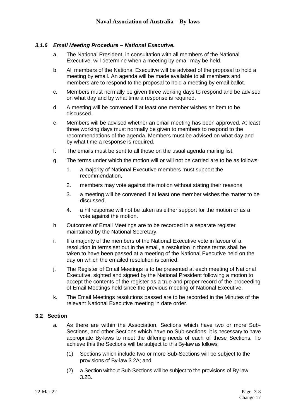#### *3.1.6 Email Meeting Procedure – National Executive.*

- a. The National President, in consultation with all members of the National Executive, will determine when a meeting by email may be held.
- b. All members of the National Executive will be advised of the proposal to hold a meeting by email. An agenda will be made available to all members and members are to respond to the proposal to hold a meeting by email ballot.
- c. Members must normally be given three working days to respond and be advised on what day and by what time a response is required.
- d. A meeting will be convened if at least one member wishes an item to be discussed.
- e. Members will be advised whether an email meeting has been approved. At least three working days must normally be given to members to respond to the recommendations of the agenda. Members must be advised on what day and by what time a response is required.
- f. The emails must be sent to all those on the usual agenda mailing list.
- g. The terms under which the motion will or will not be carried are to be as follows:
	- 1. *a* majority of National Executive members must support the recommendation,
	- 2. members may vote against the motion without stating their reasons,
	- 3. a meeting will be convened if at least one member wishes the matter to be discussed,
	- 4. a nil response will not be taken as either support for the motion or as a vote against the motion.
- h. Outcomes of Email Meetings are to be recorded in a separate register maintained by the National Secretary.
- i. If a majority of the members of the National Executive vote in favour of a resolution in terms set out in the email, a resolution in those terms shall be taken to have been passed at a meeting of the National Executive held on the day on which the emailed resolution is carried.
- j. The Register of Email Meetings is to be presented at each meeting of National Executive, sighted and signed by the National President following a motion to accept the contents of the register as a true and proper record of the proceeding of Email Meetings held since the previous meeting of National Executive.
- k. The Email Meetings resolutions passed are to be recorded in the Minutes of the relevant National Executive meeting in date order.

#### **3.2 Section**

- *a.* As there are within the Association, Sections which have two or more Sub-Sections, and other Sections which have no Sub-sections, it is necessary to have appropriate By-laws to meet the differing needs of each of these Sections. To achieve this the Sections will be subject to this By-law as follows;
	- (1) Sections which include two or more Sub-Sections will be subject to the provisions of By-law 3.2A; and
	- (2) a Section without Sub-Sections will be subject to the provisions of By-law 3.2B.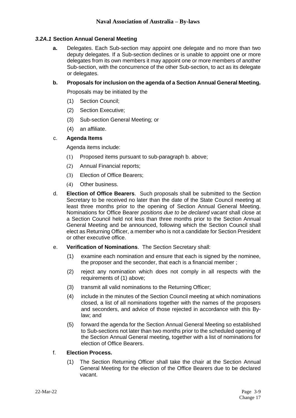#### *3.2A.1* **Section Annual General Meeting**

**a.** Delegates. Each Sub-section may appoint one delegate and no more than two deputy delegates. If a Sub-section declines or is unable to appoint one or more delegates from its own members it may appoint one or more members of another Sub-section, with the concurrence of the other Sub-section, to act as its delegate or delegates.

#### **b. Proposals for inclusion on the agenda of a Section Annual General Meeting.**

Proposals may be initiated by the

- (1) Section Council;
- (2) Section Executive;
- (3) Sub-section General Meeting; or
- (4) an affiliate.

#### c. **Agenda Items**

Agenda items include:

- (1) Proposed items pursuant to sub-paragraph b. above;
- (2) Annual Financial reports;
- (3) Election of Office Bearers;
- (4) Other business.
- d. **Election of Office Bearers**. Such proposals shall be submitted to the Section Secretary to be received no later than the date of the State Council meeting at least three months prior to the opening of Section Annual General Meeting. Nominations for Office Bearer *positions due to be declared vacant* shall close at a Section Council held not less than three months prior to the Section Annual General Meeting and be announced, following which the Section Council shall elect as Returning Officer, a member who is not a candidate for Section President or other executive office.
- e. **Verification of Nominations**. The Section Secretary shall:
	- (1) examine each nomination and ensure that each is signed by the nominee, the proposer and the seconder, that each is a financial member ;
	- (2) reject any nomination which does not comply in all respects with the requirements of (1) above;
	- (3) transmit all valid nominations to the Returning Officer;
	- (4) include in the minutes of the Section Council meeting at which nominations closed, a list of all nominations together with the names of the proposers and seconders, and advice of those rejected in accordance with this Bylaw; and
	- (5) forward the agenda for the Section Annual General Meeting so established to Sub-sections not later than two months prior to the scheduled opening of the Section Annual General meeting, together with a list of nominations for election of Office Bearers.

#### f. **Election Process.**

(1) The Section Returning Officer shall take the chair at the Section Annual General Meeting for the election of the Office Bearers due to be declared vacant.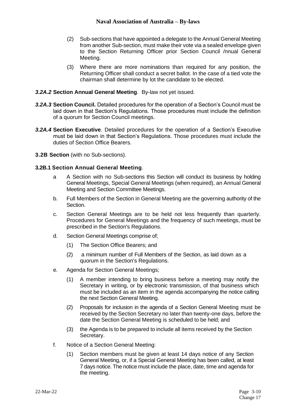- (2) Sub-sections that have appointed a delegate to the Annual General Meeting from another Sub-section, must make their vote via a sealed envelope given to the Section Returning Officer prior Section Council /nnual General Meeting.
- (3) Where there are more nominations than required for any position, the Returning Officer shall conduct a secret ballot. In the case of a tied vote the chairman shall determine by lot the candidate to be elected.

#### *3.2A.2* **Section Annual General Meeting**. By-law not yet issued.

- *3.2A.3* **Section Council.** Detailed procedures for the operation of a Section's Council must be laid down in that Section's Regulations. Those procedures must include the definition of a quorum for Section Council meetings.
- *3.2A.4* **Section Executive**. Detailed procedures for the operation of a Section's Executive must be laid down in that Section's Regulations. Those procedures must include the duties of Section Office Bearers.
- **3.2B Section** (with no Sub-sections).

#### **3.2B.1 Section Annual General Meeting**.

- a A Section with no Sub-sections this Section will conduct its business by holding General Meetings, Special General Meetings (when required), an Annual General Meeting and Section Committee Meetings.
- b. Full Members of the Section in General Meeting are the governing authority of the Section.
- c. Section General Meetings are to be held not less frequently than quarterly. Procedures for General Meetings and the frequency of such meetings, must be prescribed in the Section's Regulations.
- d. Section General Meetings comprise of;
	- (1) The Section Office Bearers; and
	- (2) a minimum number of Full Members of the Section, as laid down as a quorum in the Section's Regulations.
- e. Agenda for Section General Meetings;
	- (1) A member intending to bring business before a meeting may notify the Secretary in writing, or by electronic transmission, of that business which must be included as an item in the agenda accompanying the notice calling the next Section General Meeting.
	- (2) Proposals for inclusion in the agenda of a Section General Meeting must be received by the Section Secretary no later than twenty-one days, before the date the Section General Meeting is scheduled to be held; and
	- (3) the Agenda is to be prepared to include all items received by the Section Secretary.
- f. Notice of a Section General Meeting:
	- (1) Section members must be given at least 14 days notice of any Section General Meeting, or, if a Special General Meeting has been called, at least 7 days notice. The notice must include the place, date, time and agenda for the meeting.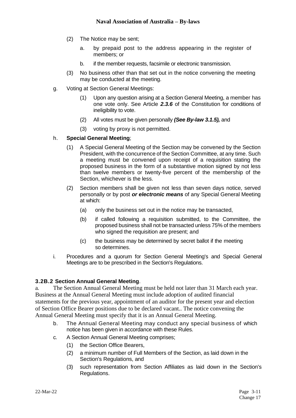- (2) The Notice may be sent;
	- a. by prepaid post to the address appearing in the register of members; or
	- b. if the member requests, facsimile or electronic transmission.
- (3) No business other than that set out in the notice convening the meeting may be conducted at the meeting.
- g. Voting at Section General Meetings:
	- (1) Upon any question arising at a Section General Meeting, a member has one vote only. See Article *2.3.6* of the Constitution for conditions of ineligibility to vote.
	- (2) All votes must be given personally *(See By-law 3.1.5),* and
	- (3) voting by proxy is not permitted.

#### h. **Special General Meeting**;

- (1) A Special General Meeting of the Section may be convened by the Section President, with the concurrence of the Section Committee, at any time. Such a meeting must be convened upon receipt of a requisition stating the proposed business in the form of a substantive motion signed by not less than twelve members or twenty-five percent of the membership of the Section, whichever is the less.
- (2) Section members shall be given not less than seven days notice, served personally or by post *or electronic means* of any Special General Meeting at which:
	- (a) only the business set out in the notice may be transacted,
	- (b) if called following a requisition submitted, to the Committee, the proposed business shall not be transacted unless 75% of the members who signed the requisition are present; and
	- (c) the business may be determined by secret ballot if the meeting so determines.
- i. Procedures and a quorum for Section General Meeting's and Special General Meetings are to be prescribed in the Section's Regulations.

#### **3.2B.2 Section Annual General Meeting**.

a. The Section Annual General Meeting must be held not later than 31 March each year. Business at the Annual General Meeting must include adoption of audited financial statements for the previous year, appointment of an auditor for the present year and election of Section Office Bearer positions due to be declared vacant.. The notice convening the Annual General Meeting must specify that it is an Annual General Meeting.

- b. The Annual General Meeting may conduct any special business of which notice has been given in accordance with these Rules.
- c. A Section Annual General Meeting comprises;
	- (1) the Section Office Bearers,
	- (2) a minimum number of Full Members of the Section, as laid down in the Section's Regulations, and
	- (3) such representation from Section Affiliates as laid down in the Section's Regulations.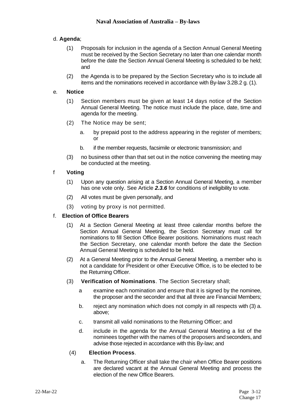#### d. **Agenda**;

- (1) Proposals for inclusion in the agenda of a Section Annual General Meeting must be received by the Section Secretary no later than one calendar month before the date the Section Annual General Meeting is scheduled to be held; and
- (2) the Agenda is to be prepared by the Section Secretary who is to include all items and the nominations received in accordance with By-law 3.2B.2 g. (1).

#### e. **Notice**

- (1) Section members must be given at least 14 days notice of the Section Annual General Meeting. The notice must include the place, date, time and agenda for the meeting.
- (2) The Notice may be sent;
	- a. by prepaid post to the address appearing in the register of members; or
	- b. if the member requests, facsimile or electronic transmission; and
- (3) no business other than that set out in the notice convening the meeting may be conducted at the meeting.

#### f **Voting**

- (1) Upon any question arising at a Section Annual General Meeting, a member has one vote only. See Article *2.3.6* for conditions of ineligibility to vote.
- (2) All votes must be given personally, and
- (3) voting by proxy is not permitted.

#### f. **Election of Office Bearers**

- (1) At a Section General Meeting at least three calendar months before the Section Annual General Meeting, the Section Secretary must call for nominations to fill Section Office Bearer positions. Nominations must reach the Section Secretary, one calendar month before the date the Section Annual General Meeting is scheduled to be held.
- (2) At a General Meeting prior to the Annual General Meeting, a member who is not a candidate for President or other Executive Office, is to be elected to be the Returning Officer.
- (3) **Verification of Nominations**. The Section Secretary shall;
	- a examine each nomination and ensure that it is signed by the nominee, the proposer and the seconder and that all three are Financial Members;
	- b. reject any nomination which does not comply in all respects with (3) a. above;
	- c. transmit all valid nominations to the Returning Officer; and
	- d. include in the agenda for the Annual General Meeting a list of the nominees together with the names of the proposers and seconders, and advise those rejected in accordance with this By-law; and

#### (4) **Election Process**.

a. The Returning Officer shall take the chair when Office Bearer positions are declared vacant at the Annual General Meeting and process the election of the new Office Bearers.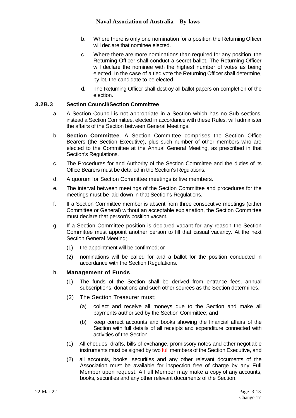- b. Where there is only one nomination for a position the Returning Officer will declare that nominee elected.
- c. Where there are more nominations than required for any position, the Returning Officer shall conduct a secret ballot. The Returning Officer will declare the nominee with the highest number of votes as being elected. In the case of a tied vote the Returning Officer shall determine, by lot, the candidate to be elected.
- d. The Returning Officer shall destroy all ballot papers on completion of the election.

#### **3.2B.3 Section Council/Section Committee**

- a. A Section Council is not appropriate in a Section which has no Sub-sections, instead a Section Committee, elected in accordance with these Rules, will administer the affairs of the Section between General Meetings.
- b. **Section Committee**. A Section Committee comprises the Section Office Bearers (the Section Executive), plus such number of other members who are elected to the Committee at the Annual General Meeting, as prescribed in that Section's Regulations.
- c. The Procedures for and Authority of the Section Committee and the duties of its Office Bearers must be detailed in the Section's Regulations.
- d. A quorum for Section Committee meetings is five members.
- e. The interval between meetings of the Section Committee and procedures for the meetings must be laid down in that Section's Regulations.
- f. If a Section Committee member is absent from three consecutive meetings (either Committee or General) without an acceptable explanation, the Section Committee must declare that person's position vacant.
- g. If a Section Committee position is declared vacant for any reason the Section Committee must appoint another person to fill that casual vacancy. At the next Section General Meeting;
	- (1) the appointment will be confirmed; or
	- (2) nominations will be called for and a ballot for the position conducted in accordance with the Section Regulations.

#### h. **Management of Funds**.

- (1) The funds of the Section shall be derived from entrance fees, annual subscriptions, donations and such other sources as the Section determines.
- (2) The Section Treasurer must;
	- (a) collect and receive all moneys due to the Section and make all payments authorised by the Section Committee; and
	- (b) keep correct accounts and books showing the financial affairs of the Section with full details of all receipts and expenditure connected with activities of the Section.
- (1) All cheques, drafts, bills of exchange, promissory notes and other negotiable instruments must be signed by two full members of the Section Executive, and
- (2) all accounts, books, securities and any other relevant documents of the Association must be available for inspection free of charge by any Full Member upon request. A Full Member may make a copy of any accounts, books, securities and any other relevant documents of the Section.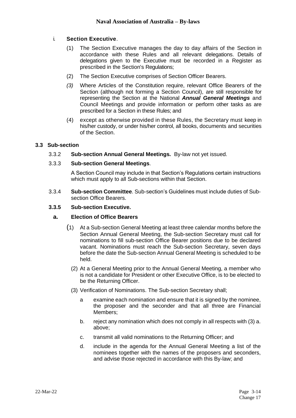#### i. **Section Executive**.

- (1) The Section Executive manages the day to day affairs of the Section in accordance with these Rules and all relevant delegations. Details of delegations given to the Executive must be recorded in a Register as prescribed in the Section's Regulations;
- (2) The Section Executive comprises of Section Officer Bearers.
- *(3)* Where Articles of the Constitution require, relevant Office Bearers of the Section (although not forming a Section Council), are still responsible for representing the Section at the National *Annual General Meetings* and Council Meetings and provide information or perform other tasks as are prescribed for a Section in these Rules; and
- (4) except as otherwise provided in these Rules, the Secretary must keep in his/her custody, or under his/her control, all books, documents and securities of the Section.

#### **3.3 Sub-section**

3.3.2 **Sub-section Annual General Meetings.** By-law not yet issued.

#### 3.3.3 **Sub-section General Meetings**.

A Section Council may include in that Section's Regulations certain instructions which must apply to all Sub-sections within that Section.

3.3.4 **Sub-section Committee**. Sub-section's Guidelines must include duties of Subsection Office Bearers.

#### **3.3.5 Sub-section Executive.**

#### **a. Election of Office Bearers**

- (1) At a Sub-section General Meeting at least three calendar months before the Section Annual General Meeting, the Sub-section Secretary must call for nominations to fill sub-section Office Bearer positions due to be declared vacant. Nominations must reach the Sub-section Secretary, seven days before the date the Sub-section Annual General Meeting is scheduled to be held.
	- (2) At a General Meeting prior to the Annual General Meeting, a member who is not a candidate for President or other Executive Office, is to be elected to be the Returning Officer.
	- (3) Verification of Nominations. The Sub-section Secretary shall;
		- a examine each nomination and ensure that it is signed by the nominee, the proposer and the seconder and that all three are Financial Members;
		- b. reject any nomination which does not comply in all respects with (3) a. above;
		- c. transmit all valid nominations to the Returning Officer; and
		- d. include in the agenda for the Annual General Meeting a list of the nominees together with the names of the proposers and seconders, and advise those rejected in accordance with this By-law; and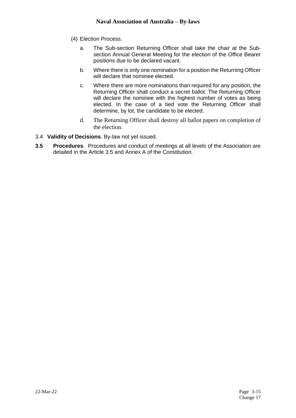- (4) Election Process.
	- a. The Sub-section Returning Officer shall take the chair at the Subsection Annual General Meeting for the election of the Office Bearer positions due to be declared vacant.
	- b. Where there is only one nomination for a position the Returning Officer will declare that nominee elected.
	- c. Where there are more nominations than required for any position, the Returning Officer shall conduct a secret ballot. The Returning Officer will declare the nominee with the highest number of votes as being elected. In the case of a tied vote the Returning Officer shall determine, by lot, the candidate to be elected.
	- d. The Returning Officer shall destroy all ballot papers on completion of the election.
- 3.4 **Validity of Decisions**. By-law not yet issued.
- **3.5 Procedures**. Procedures and conduct of meetings at all levels of the Association are detailed in the Article 3.5 and Annex A of the Constitution.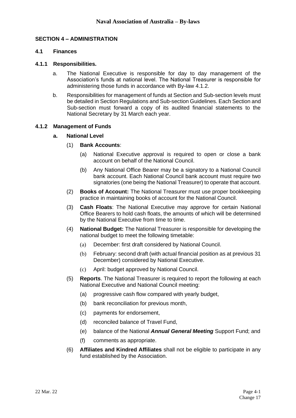#### **SECTION 4 – ADMINISTRATION**

#### **4.1 Finances**

#### **4.1.1 Responsibilities.**

- a. The National Executive is responsible for day to day management of the Association's funds at national level. The National Treasurer is responsible for administering those funds in accordance with By-law 4.1.2.
- b. Responsibilities for management of funds at Section and Sub-section levels must be detailed in Section Regulations and Sub-section Guidelines. Each Section and Sub-section must forward a copy of its audited financial statements to the National Secretary by 31 March each year.

#### **4.1.2 Management of Funds**

#### **a. National Level**

- (1) **Bank Accounts**:
	- (a) National Executive approval is required to open or close a bank account on behalf of the National Council.
	- (b) Any National Office Bearer may be a signatory to a National Council bank account. Each National Council bank account must require two signatories (one being the National Treasurer) to operate that account.
- (2) **Books of Account:** The National Treasurer must use proper bookkeeping practice in maintaining books of account for the National Council.
- (3) **Cash Floats**: The National Executive may approve for certain National Office Bearers to hold cash floats, the amounts of which will be determined by the National Executive from time to time.
- (4) **National Budget:** The National Treasurer is responsible for developing the national budget to meet the following timetable:
	- (a) December: first draft considered by National Council.
	- (b) February: second draft (with actual financial position as at previous 31 December) considered by National Executive.
	- (c) April: budget approved by National Council.
- (5) **Reports**. The National Treasurer is required to report the following at each National Executive and National Council meeting:
	- (a) progressive cash flow compared with yearly budget,
	- (b) bank reconciliation for previous month,
	- (c) payments for endorsement,
	- (d) reconciled balance of Travel Fund,
	- (e) balance of the National *Annual General Meeting* Support Fund; and
	- (f) comments as appropriate.
- (6) **Affiliates and Kindred Affiliates** shall not be eligible to participate in any fund established by the Association.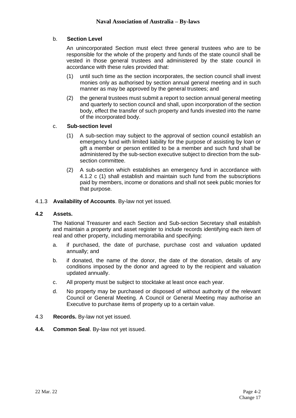#### b. **Section Level**

An unincorporated Section must elect three general trustees who are to be responsible for the whole of the property and funds of the state council shall be vested in those general trustees and administered by the state council in accordance with these rules provided that:

- (1) until such time as the section incorporates, the section council shall invest monies only as authorised by section annual general meeting and in such manner as may be approved by the general trustees; and
- (2) the general trustees must submit a report to section annual general meeting and quarterly to section council and shall, upon incorporation of the section body, effect the transfer of such property and funds invested into the name of the incorporated body.

#### c. **Sub-section level**

- (1) A sub-section may subject to the approval of section council establish an emergency fund with limited liability for the purpose of assisting by loan or gift a member or person entitled to be a member and such fund shall be administered by the sub-section executive subject to direction from the subsection committee.
- (2) A sub-section which establishes an emergency fund in accordance with 4.1.2 c (1) shall establish and maintain such fund from the subscriptions paid by members, income or donations and shall not seek public monies for that purpose.
- 4.1.3 **Availability of Accounts**. By-law not yet issued.

#### **4.2 Assets.**

The National Treasurer and each Section and Sub-section Secretary shall establish and maintain a property and asset register to include records identifying each item of real and other property, including memorabilia and specifying:

- a. if purchased, the date of purchase, purchase cost and valuation updated annually; and
- b. if donated, the name of the donor, the date of the donation, details of any conditions imposed by the donor and agreed to by the recipient and valuation updated annually.
- c. All property must be subject to stocktake at least once each year.
- d. No property may be purchased or disposed of without authority of the relevant Council or General Meeting. A Council or General Meeting may authorise an Executive to purchase items of property up to a certain value.
- 4.3 **Records.** By-law not yet issued.
- **4.4. Common Seal**. By-law not yet issued.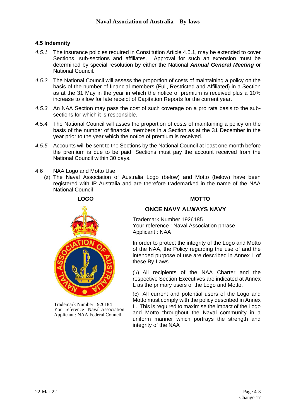#### **4.5 Indemnity**

- *4.5.1* The insurance policies required in Constitution Article 4.5.1, may be extended to cover Sections, sub-sections and affiliates. Approval for such an extension must be determined by special resolution by either the National *Annual General Meeting* or National Council.
- *4.5.2* The National Council will assess the proportion of costs of maintaining a policy on the basis of the number of financial members (Full, Restricted and Affiliated) in a Section as at the 31 May in the year in which the notice of premium is received plus a 10% increase to allow for late receipt of Capitation Reports for the current year.
- *4.5.3* An NAA Section may pass the cost of such coverage on a pro rata basis to the subsections for which it is responsible.
- *4.5.4* The National Council will asses the proportion of costs of maintaining a policy on the basis of the number of financial members in a Section as at the 31 December in the year prior to the year which the notice of premium is received.
- *4.5.5* Accounts will be sent to the Sections by the National Council at least one month before the premium is due to be paid. Sections must pay the account received from the National Council within 30 days.
- 4.6 NAA Logo and Motto Use
	- (a) The Naval Association of Australia Logo (below) and Motto (below) have been registered with IP Australia and are therefore trademarked in the name of the NAA National Council



Trademark Number 1926184 Your reference : Naval Association Applicant : NAA Federal Council

#### **ONCE NAVY ALWAYS NAVY**

Trademark Number 1926185 Your reference : Naval Association phrase Applicant : NAA

In order to protect the integrity of the Logo and Motto of the NAA, the Policy regarding the use of and the intended purpose of use are described in Annex L of these By-Laws.

(b) All recipients of the NAA Charter and the respective Section Executives are indicated at Annex L as the primary users of the Logo and Motto.

(c) All current and potential users of the Logo and Motto must comply with the policy described in Annex L. This is required to maximise the impact of the Logo and Motto throughout the Naval community in a uniform manner which portrays the strength and integrity of the NAA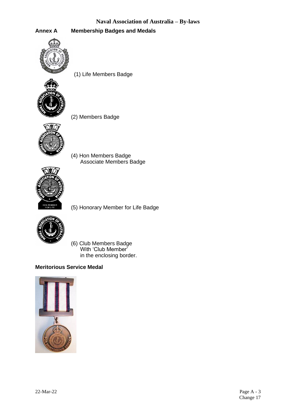**Annex A Membership Badges and Medals**



(1) Life Members Badge



(2) Members Badge



(4) Hon Members Badge Associate Members Badge



(5) Honorary Member for Life Badge



(6) Club Members Badge With 'Club Member' in the enclosing border.

#### **Meritorious Service Medal**

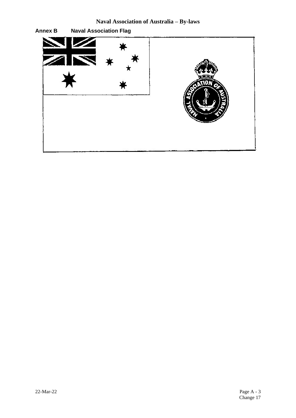**Naval Association of Australia – By-laws**

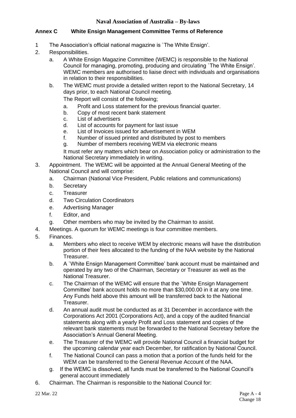#### **Annex C White Ensign Management Committee Terms of Reference**

- 1 The Association's official national magazine is `The White Ensign'.
- 2. Responsibilities.
	- a. A White Ensign Magazine Committee (WEMC) is responsible to the National Council for managing, promoting, producing and circulating `The White Ensign'. WEMC members are authorised to liaise direct with individuals and organisations in relation to their responsibilities.
	- b. The WEMC must provide a detailed written report to the National Secretary, 14 days prior, to each National Council meeting.

The Report will consist of the following;

- a. Profit and Loss statement for the previous financial quarter.
- b. Copy of most recent bank statement
- c. List of advertisers
- d. List of accounts for payment for last issue
- e. List of Invoices issued for advertisement in WEM
- f. Number of issued printed and distributed by post to members
- g. Number of members receiving WEM via electronic means

It must refer any matters which bear on Association policy or administration to the National Secretary immediately in writing.

- 3. Appointment. The WEMC will be appointed at the Annual General Meeting of the National Council and will comprise:
	- a. Chairman (National Vice President, Public relations and communications)
	- b. Secretary
	- c. Treasurer
	- d. Two Circulation Coordinators
	- e. Advertising Manager
	- f. Editor, and
	- g. Other members who may be invited by the Chairman to assist.
- 4. Meetings. A quorum for WEMC meetings is four committee members.
- 5. Finances.
	- a. Members who elect to receive WEM by electronic means will have the distribution portion of their fees allocated to the funding of the NAA website by the National Treasurer.
	- b. A `White Ensign Management Committee' bank account must be maintained and operated by any two of the Chairman, Secretary or Treasurer as well as the National Treasurer.
	- c. The Chairman of the WEMC will ensure that the `White Ensign Management Committee' bank account holds no more than \$30,000.00 in it at any one time. Any Funds held above this amount will be transferred back to the National Treasurer.
	- d. An annual audit must be conducted as at 31 December in accordance with the Corporations Act 2001 (Corporations Act), and a copy of the audited financial statements along with a yearly Profit and Loss statement and copies of the relevant bank statements must be forwarded to the National Secretary before the Association's Annual General Meeting.
	- e. The Treasurer of the WEMC will provide National Council a financial budget for the upcoming calendar year each December, for ratification by National Council.
	- f. The National Council can pass a motion that a portion of the funds held for the WEM can be transferred to the General Revenue Account of the NAA.
	- g. If the WEMC is dissolved, all funds must be transferred to the National Council's general account immediately
- 6. Chairman. The Chairman is responsible to the National Council for: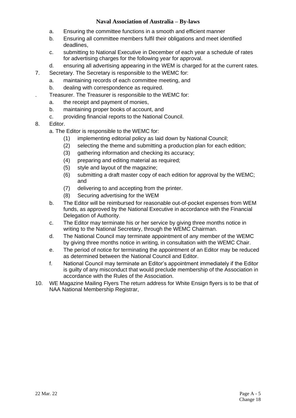- a. Ensuring the committee functions in a smooth and efficient manner
- b. Ensuring all committee members fulfil their obligations and meet identified deadlines,
- c. submitting to National Executive in December of each year a schedule of rates for advertising charges for the following year for approval.
- d. ensuring all advertising appearing in the WEM is charged for at the current rates.
- 7. Secretary. The Secretary is responsible to the WEMC for:
	- a. maintaining records of each committee meeting, and
	- b. dealing with correspondence as required.
	- . Treasurer. The Treasurer is responsible to the WEMC for:
	- a. the receipt and payment of monies,
	- b. maintaining proper books of account, and
	- c. providing financial reports to the National Council.
- 8. Editor.
	- a. The Editor is responsible to the WEMC for:
		- (1) implementing editorial policy as laid down by National Council;
		- (2) selecting the theme and submitting a production plan for each edition;
		- (3) gathering information and checking its accuracy;
		- (4) preparing and editing material as required;
		- (5) style and layout of the magazine;
		- (6) submitting a draft master copy of each edition for approval by the WEMC; and
		- (7) delivering to and accepting from the printer.
		- (8) Securing advertising for the WEM
	- b. The Editor will be reimbursed for reasonable out-of-pocket expenses from WEM funds, as approved by the National Executive in accordance with the Financial Delegation of Authority.
	- c. The Editor may terminate his or her service by giving three months notice in writing to the National Secretary, through the WEMC Chairman.
	- d. The National Council may terminate appointment of any member of the WEMC by giving three months notice in writing, in consultation with the WEMC Chair.
	- e. The period of notice for terminating the appointment of an Editor may be reduced as determined between the National Council and Editor.
	- f. National Council may terminate an Editor's appointment immediately if the Editor is guilty of any misconduct that would preclude membership of the Association in accordance with the Rules of the Association.
- 10. WE Magazine Mailing Flyers The return address for White Ensign flyers is to be that of NAA National Membership Registrar,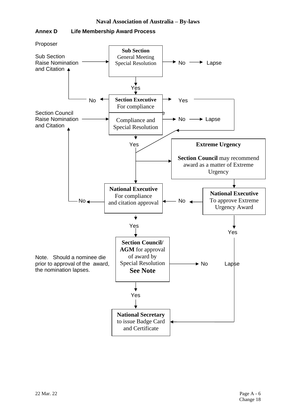

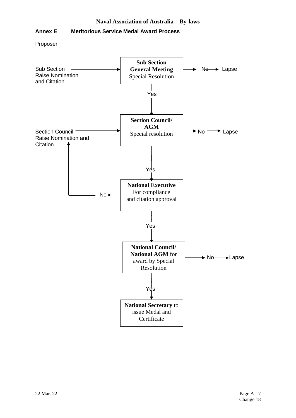#### **Annex E Meritorious Service Medal Award Process**

Proposer

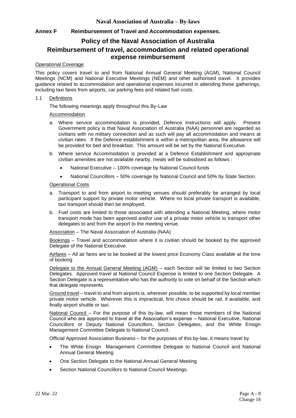#### **Annex F Reimbursement of Travel and Accommodation expenses.**

#### **Policy of the Naval Association of Australia Reimbursement of travel, accommodation and related operational expense reimbursement**

#### Operational Coverage

This policy covers travel to and from National Annual General Meeting (AGM), National Council Meetings (NCM) and National Executive Meetings (NEM) and other authorised travel. It provides guidance related to accommodation and operational expenses incurred in attending these gatherings, including taxi fares from airports, car parking fees and related fuel costs.

#### 1.1 Definitions

The following meanings apply throughout this By-Law

#### Accommodation

- a. Where service accommodation is provided, Defence Instructions will apply. Present Government policy is that Naval Association of Australia (NAA) personnel are regarded as civilians with no military connection and as such will pay all accommodation and means at civilian rates. If the Defence establishment is within a metropolitan area, the allowance will be provided for bed and breakfast. This amount will be set by the National Executive.
- b. Where service Accommodation is provided at a Defence Establishment and appropriate civilian amenities are not available nearby, meals will be subsidised as follows :
	- National Executive 100% coverage by National Council funds
	- National Councillors 50% coverage by National Council and 50% by State Section.

#### Operational Costs

- a. Transport to and from airport to meeting venues should preferably be arranged by local participant support by private motor vehicle. Where no local private transport is available, taxi transport should then be employed.
- b. Fuel costs are limited to those associated with attending a National Meeting, where motor transport mode has been approved and/or use of a private motor vehicle to transport other delegates to and from the airport to the meeting venue.

Association – The Naval Association of Australia (NAA)

Bookings – Travel and accommodation where it is civilian should be booked by the approved Delegate of the National Executive.

Airfares – All air fares are to be booked at the lowest price Economy Class available at the time of booking

Delegate to the Annual General Meeting (AGM) - each Section will be limited to two Section Delegates. Approved travel at National Council Expense is limited to one Section Delegate. A Section Delegate is a representative who has the authority to vote on behalf of the Section which that delegate represents.

Ground travel – travel to and from airports is, wherever possible, to be supported by local member private motor vehicle. Wherever this is impractical, first choice should be rail, if available, and finally airport shuttle or taxi.

National Council – For the purpose of this by-law, will mean those members of the National Council who are approved to travel at the Association's expense – National Executive, National Councillors or Deputy National Councillors, Section Delegates, and the White Ensign Management Committee Delegate to National Council.

Official Approved Association Business – for the purposes of this by-law, it means travel by

- The White Ensign Management Committee Delegate to National Council and National Annual General Meeting
- One Section Delegate to the National Annual General Meeting
- Section National Councillors to National Council Meetings.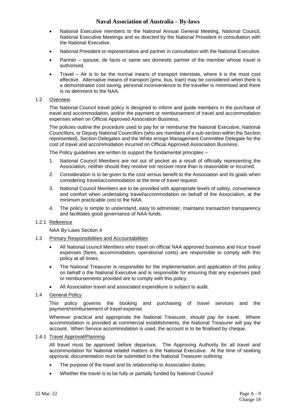- National Executive members to the National Annual General Meeting, National Council, National Executive Meetings and as directed by the National President in consultation with the National Executive.
- National President or representative and partner in consultation with the National Executive.
- Partner spouse, de facto or same sex domestic partner of the member whose travel is authorised.
- Travel Air is to be the normal means of transport interstate, where it is the most cost effective. Alternative means of transport (pmv, bus, train) may be considered when there is a demonstrated cost saving, personal inconvenience to the traveller is minimised and there is no detriment to the NAA.

#### 1.2 Overview

The National Council travel policy is designed to inform and guide members in the purchase of travel and accommodation, and/or the payment or reimbursement of travel and accommodation expenses when on Official Approved Association Business.

The policies outline the procedure used to pay for or reimburse the National Executive, National Councillors, or Deputy National Councillors (who are members of a sub-section within the Section represented), Section Delegates and the White ensign Management Committee Delegate for the cost of travel and accommodation incurred on Official Approved Association Business.

The Policy guidelines are written to support the fundamental principles –

- 1. National Council Members are not out of pocket as a result of officially representing the Association, neither should they receive nor recover more than is reasonable or incurred.
- 2. Consideration is to be given to the cost versus benefit to the Association and its goals when considering travel/accommodation at the time of travel request.
- 3. National Council Members are to be provided with appropriate levels of safety, convenience and comfort when undertaking travel/accommodation on behalf of the Association, at the minimum practicable cost to the NAA.
- 4. The policy is simple to understand, easy to administer, maintains transaction transparency and facilitates good governance of NAA funds.

#### 1.2.1 Reference

NAA By-Laws Section 4

#### 1.3 Primary Responsibilities and Accountabilities

- All National council Members who travel on official NAA approved business and incur travel expenses (fares, accommodation, operational costs) are responsible to comply with this policy at all times.
- The National Treasurer is responsible for the implementation and application of this policy on behalf o the National Executive and is responsible for ensuring that any expenses paid or reimbursements provided are to comply with this policy.
- All Association travel and associated expenditure is subject to audit.
- 1.4 General Policy

This policy governs the booking and purchasing of travel services and the payment/reimbursement of travel expense.

Wherever practical and appropriate the National Treasurer, should pay for travel. Where accommodation is provided at commercial establishments, the National Treasurer will pay the account. When Service accommodation is used, the account is to be finalised by cheque.

#### 1.4.1 Travel Approval/Planning

All travel must be approved before departure. The Approving Authority for all travel and accommodation for National related matters is the National Executive. At the time of seeking approval, documentation must be submitted to the National Treasurer outlining:

- The purpose of the travel and its relationship to Association duties.
- Whether the travel is to be fully or partially funded by National Council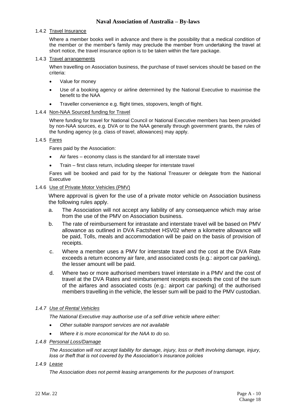#### 1.4.2 Travel Insurance

Where a member books well in advance and there is the possibility that a medical condition of the member or the member's family may preclude the member from undertaking the travel at short notice, the travel insurance option is to be taken within the fare package.

#### 1.4.3 Travel arrangements

When travelling on Association business, the purchase of travel services should be based on the criteria:

- Value for money
- Use of a booking agency or airline determined by the National Executive to maximise the benefit to the NAA
- Traveller convenience e.g. flight times, stopovers, length of flight.

#### 1.4.4 Non-NAA Sourced funding for Travel

Where funding for travel for National Council or National Executive members has been provided by non-NAA sources, e.g. DVA or to the NAA generally through government grants, the rules of the funding agency (e.g. class of travel, allowances) may apply.

#### 1.4.5 Fares

Fares paid by the Association:

- Air fares economy class is the standard for all interstate travel
- Train first class return, including sleeper for interstate travel

Fares will be booked and paid for by the National Treasurer or delegate from the National Executive

#### 1.4.6 Use of Private Motor Vehicles (PMV)

Where approval is given for the use of a private motor vehicle on Association business the following rules apply.

- a. The Association will not accept any liability of any consequence which may arise from the use of the PMV on Association business.
- b. The rate of reimbursement for intrastate and interstate travel will be based on PMV allowance as outlined in DVA Factsheet HSV02 where a kilometre allowance will be paid, Tolls, meals and accommodation will be paid on the basis of provision of receipts.
- c. Where a member uses a PMV for interstate travel and the cost at the DVA Rate exceeds a return economy air fare, and associated costs (e.g.: airport car parking), the lesser amount will be paid.
- d. Where two or more authorised members travel interstate in a PMV and the cost of travel at the DVA Rates and reimbursement receipts exceeds the cost of the sum of the airfares and associated costs (e.g.: airport car parking) of the authorised members travelling in the vehicle, the lesser sum will be paid to the PMV custodian.

#### *1.4.7 Use of Rental Vehicles*

*The National Executive may authorise use of a self drive vehicle where either:*

- *Other suitable transport services are not available*
- *Where it is more economical for the NAA to do so.*

#### *1.4.8 Personal Loss/Damage*

*The Association will not accept liability for damage, injury, loss or theft involving damage, injury, loss or theft that is not covered by the Association's insurance policies*

*1.4.9 Lease*

*The Association does not permit leasing arrangements for the purposes of transport.*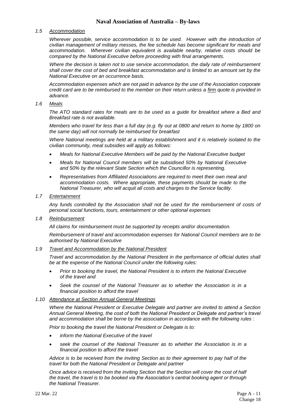#### *1.5 Accommodation*

*Wherever possible, service accommodation is to be used. However with the introduction of civilian management of military messes, the fee schedule has become significant for meals and accommodation. Wherever civilian equivalent is available nearby, relative costs should be compared by the National Executive before proceeding with final arrangements.*

*Where the decision is taken not to use service accommodation, the daily rate of reimbursement shall cover the cost of bed and breakfast accommodation and is limited to an amount set by the National Executive on an occurrence basis.*

*Accommodation expenses which are not paid in advance by the use of the Association corporate credit card are to be reimbursed to the member on their return unless a firm quote is provided in advance.*

#### *1.6 Meals*

*The ATO standard rates for meals are to be used as a guide for breakfast where a Bed and Breakfast rate is not available.* 

*Members who travel for less than a full day (e.g. fly out at 0800 and return to home by 1800 on the same day) will not normally be reimbursed for breakfast*

*Where National meetings are held at a military establishment and it is relatively isolated to the civilian community, meal subsidies will apply as follows:*

- *Meals for National Executive Members will be paid by the National Executive budget*
- *Meals for National Council members will be subsidised 50% by National Executive and 50% by the relevant State Section which the Councillor is representing.*
- *Representatives from Affiliated Associations are required to meet their own meal and accommodation costs. Where appropriate, these payments should be made to the National Treasurer, who will acquit all costs and charges to the Service facility.*

#### *1.7 Entertainment*

*Any funds controlled by the Association shall not be used for the reimbursement of costs of personal social functions, tours, entertainment or other optional expenses*

#### *1.8 Reimbursement*

*All claims for reimbursement must be supported by receipts and/or documentation.*

*Reimbursement of travel and accommodation expenses for National Council members are to be authorised by National Executive*

#### *1.9 Travel and Accommodation by the National President*

*Travel and accommodation by the National President in the performance of official duties shall be at the expense of the National Council under the following rules:*

- *Prior to booking the travel, the National President is to inform the National Executive of the travel and*
- *Seek the counsel of the National Treasurer as to whether the Association is in a financial position to afford the travel*

#### *1.10 Attendance at Section Annual General Meetings*

*Where the National President or Executive Delegate and partner are invited to attend a Section Annual General Meeting, the cost of both the National President or Delegate and partner's travel and accommodation shall be borne by the association in accordance with the following rules :*

*Prior to booking the travel the National President or Delegate is to:*

- *inform the National Executive of the travel*
- *seek the counsel of the National Treasurer as to whether the Association is in a financial position to afford the travel*

*Advice is to be received from the inviting Section as to their agreement to pay half of the travel for both the National President or Delegate and partner*

*Once advice is received from the inviting Section that the Section will cover the cost of half the travel, the travel is to be booked via the Association's central booking agent or through the National Treasurer.*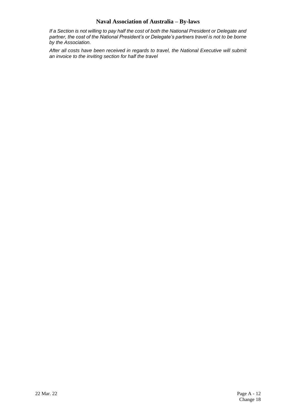*If a Section is not willing to pay half the cost of both the National President or Delegate and partner, the cost of the National President's or Delegate's partners travel is not to be borne by the Association.*

*After all costs have been received in regards to travel, the National Executive will submit an invoice to the inviting section for half the travel*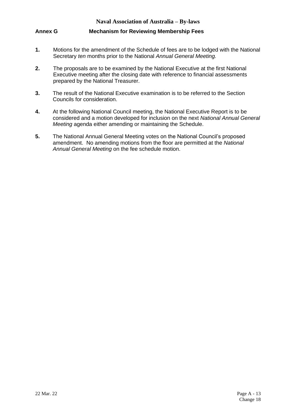#### **Annex G Mechanism for Reviewing Membership Fees**

- **1.** Motions for the amendment of the Schedule of fees are to be lodged with the National Secretary *ten* months prior to the National *Annual General Meeting.*
- **2.** The proposals are to be examined by the National Executive at the first National Executive meeting after the closing date with reference to financial assessments prepared by the National Treasurer.
- **3.** The result of the National Executive examination is to be referred to the Section Councils for consideration.
- **4.** At the following National Council meeting, the National Executive Report is to be considered and a motion developed for inclusion on the next *National Annual General Meeting* agenda either amending or maintaining the Schedule.
- **5.** The National Annual General Meeting votes on the National Council's proposed amendment. No amending motions from the floor are permitted at the *National Annual General Meeting* on the fee schedule motion.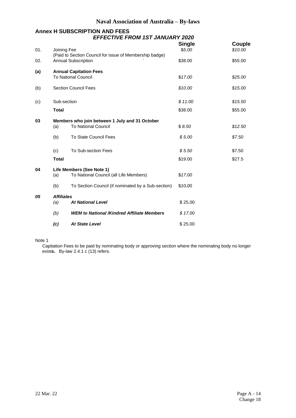## **Annex H SUBSCRIPTION AND FEES** *EFFECTIVE FROM 1ST JANUARY 2020*

| 01. |              | Joining Fee<br>(Paid to Section Council for issue of Membership badge) |         | Couple<br>\$10.00 |  |  |  |
|-----|--------------|------------------------------------------------------------------------|---------|-------------------|--|--|--|
| 02. |              | <b>Annual Subscription</b>                                             | \$38.00 | \$55.00           |  |  |  |
| (a) |              | <b>Annual Capitation Fees</b>                                          |         |                   |  |  |  |
|     |              | <b>To National Council</b>                                             | \$17.00 | \$25.00           |  |  |  |
| (b) |              | <b>Section Council Fees</b>                                            |         | \$15.00           |  |  |  |
| (c) | Sub-section  |                                                                        | \$11.00 | \$15.50           |  |  |  |
|     | <b>Total</b> |                                                                        | \$38.00 | \$55.00           |  |  |  |
| 03  |              | Members who join between 1 July and 31 October                         |         |                   |  |  |  |
|     | (a)          | <b>To National Council</b>                                             | \$8.50  | \$12.50           |  |  |  |
|     | (b)          | <b>To State Council Fees</b>                                           | \$5.00  | \$7.50            |  |  |  |
|     | (c)          | To Sub-section Fees                                                    | \$5.50  | \$7.50            |  |  |  |
|     | <b>Total</b> |                                                                        | \$19.00 | \$27.5            |  |  |  |
| 04  |              | Life Members (See Note 1)                                              |         |                   |  |  |  |
|     | (a)          | To National Council (all Life Members)                                 | \$17.00 |                   |  |  |  |
|     | (b)          | To Section Council (if nominated by a Sub-section)                     | \$10.00 |                   |  |  |  |
| 05  |              | <b>Affiliates</b>                                                      |         |                   |  |  |  |
|     | (a)          | <b>At National Level</b>                                               | \$25.00 |                   |  |  |  |
|     | (b)          | <b>WEM to National /Kindred Affiliate Members</b>                      | \$17.00 |                   |  |  |  |
|     | (c)          | <b>At State Level</b>                                                  | \$25.00 |                   |  |  |  |

#### Note 1

Capitation Fees to be paid by nominating body or approving section where the nominating body no longer exist**s.** By-law 2.4.1 c (13) refers.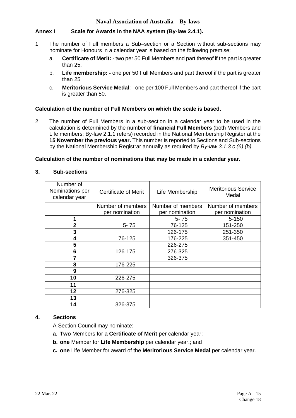#### **Annex I Scale for Awards in the NAA system (By-law 2.4.1).**

- . 1. The number of Full members a Sub–section or a Section without sub-sections may nominate for Honours in a calendar year is based on the following premise;
	- a. **Certificate of Merit:** two per 50 Full Members and part thereof if the part is greater than 25.
	- b. **Life membership: -** one per 50 Full Members and part thereof if the part is greater than 25
	- c. **Meritorious Service Medal**: one per 100 Full Members and part thereof if the part is greater than 50.

#### **Calculation of the number of Full Members on which the scale is based.**

2. The number of Full Members in a sub-section in a calendar year to be used in the calculation is determined by the number of **financial Full Members** (both Members and Life members; By-law 2.1.1 refers) recorded in the National Membership Register at the **15 November the previous year.** This number is reported to Sections and Sub-sections by the National Membership Registrar annually as required by *By-law 3.1.3 c (6) (b).*

#### **Calculation of the number of nominations that may be made in a calendar year.**

#### **3. Sub-sections**

| Number of<br>Nominations per<br>calendar year | <b>Certificate of Merit</b> | Life Membership   | <b>Meritorious Service</b><br>Medal |
|-----------------------------------------------|-----------------------------|-------------------|-------------------------------------|
|                                               | Number of members           | Number of members | Number of members                   |
|                                               | per nomination              | per nomination    | per nomination                      |
| 1                                             |                             | $5 - 75$          | $5 - 150$                           |
| $\mathbf{2}$                                  | $5 - 75$                    | 76-125            | 151-250                             |
| 3                                             |                             | 126-175           | 251-350                             |
| 4                                             | 76-125                      | 176-225           | 351-450                             |
| 5                                             |                             | 226-275           |                                     |
| 6                                             | 126-175                     | 276-325           |                                     |
| 7                                             |                             | 326-375           |                                     |
| 8                                             | 176-225                     |                   |                                     |
| 9                                             |                             |                   |                                     |
| 10                                            | 226-275                     |                   |                                     |
| 11                                            |                             |                   |                                     |
| 12                                            | 276-325                     |                   |                                     |
| 13                                            |                             |                   |                                     |
| 14                                            | 326-375                     |                   |                                     |

#### **4. Sections**

A Section Council may nominate:

- **a. Two** Members for a **Certificate of Merit** per calendar year;
- **b. one** Member for **Life Membership** per calendar year.; and
- **c. one** Life Member for award of the **Meritorious Service Medal** per calendar year.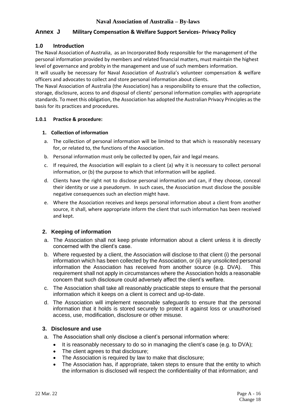#### **Annex J Military Compensation & Welfare Support Services- Privacy Policy**

#### **1.0 Introduction**

The Naval Association of Australia, as an Incorporated Body responsible for the management of the personal information provided by members and related financial matters, must maintain the highest level of governance and probity in the management and use of such members information.

It will usually be necessary for Naval Association of Australia's volunteer compensation & welfare officers and advocates to collect and store personal information about clients.

The Naval Association of Australia (the Association) has a responsibility to ensure that the collection, storage, disclosure, access to and disposal of clients' personal information complies with appropriate standards. To meet this obligation, the Association has adopted the Australian Privacy Principles as the basis for its practices and procedures.

#### **1.0.1 Practice & procedure:**

#### **1. Collection of information**

- a. The collection of personal information will be limited to that which is reasonably necessary for, or related to, the functions of the Association.
- b. Personal information must only be collected by open, fair and legal means.
- c. If required, the Association will explain to a client (a) why it is necessary to collect personal information, or (b) the purpose to which that information will be applied.
- d. Clients have the right not to disclose personal information and can, if they choose, conceal their identity or use a pseudonym. In such cases, the Association must disclose the possible negative consequences such an election might have.
- e. Where the Association receives and keeps personal information about a client from another source, it shall, where appropriate inform the client that such information has been received and kept.

#### **2. Keeping of information**

- a. The Association shall not keep private information about a client unless it is directly concerned with the client's case.
- b. Where requested by a client, the Association will disclose to that client (i) the personal information which has been collected by the Association, or (ii) any unsolicited personal information the Association has received from another source (e.g. DVA). This requirement shall not apply in circumstances where the Association holds a reasonable concern that such disclosure could adversely affect the client's welfare.
- c. The Association shall take all reasonably practicable steps to ensure that the personal information which it keeps on a client is correct and up-to-date.
- d. The Association will implement reasonable safeguards to ensure that the personal information that it holds is stored securely to protect it against loss or unauthorised access, use, modification, disclosure or other misuse.

#### **3. Disclosure and use**

- a. The Association shall only disclose a client's personal information where:
	- It is reasonably necessary to do so in managing the client's case (e.g. to DVA);
	- The client agrees to that disclosure;
	- The Association is required by law to make that disclosure;
	- The Association has, if appropriate, taken steps to ensure that the entity to which the information is disclosed will respect the confidentiality of that information; and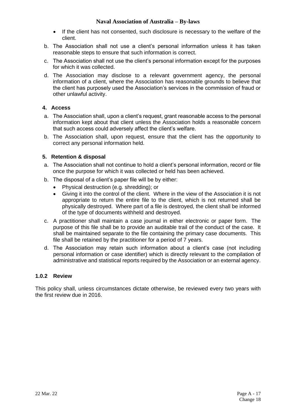- If the client has not consented, such disclosure is necessary to the welfare of the client.
- b. The Association shall not use a client's personal information unless it has taken reasonable steps to ensure that such information is correct.
- c. The Association shall not use the client's personal information except for the purposes for which it was collected.
- d. The Association may disclose to a relevant government agency, the personal information of a client, where the Association has reasonable grounds to believe that the client has purposely used the Association's services in the commission of fraud or other unlawful activity.

#### **4. Access**

- a. The Association shall, upon a client's request, grant reasonable access to the personal information kept about that client unless the Association holds a reasonable concern that such access could adversely affect the client's welfare.
- b. The Association shall, upon request, ensure that the client has the opportunity to correct any personal information held.

#### **5. Retention & disposal**

- a. The Association shall not continue to hold a client's personal information, record or file once the purpose for which it was collected or held has been achieved.
- b. The disposal of a client's paper file will be by either:
	- Physical destruction (e.g. shredding); or
	- Giving it into the control of the client. Where in the view of the Association it is not appropriate to return the entire file to the client, which is not returned shall be physically destroyed. Where part of a file is destroyed, the client shall be informed of the type of documents withheld and destroyed.
- c. A practitioner shall maintain a case journal in either electronic or paper form. The purpose of this file shall be to provide an auditable trail of the conduct of the case. It shall be maintained separate to the file containing the primary case documents. This file shall be retained by the practitioner for a period of 7 years.
- d. The Association may retain such information about a client's case (not including personal information or case identifier) which is directly relevant to the compilation of administrative and statistical reports required by the Association or an external agency.

#### **1.0.2 Review**

This policy shall, unless circumstances dictate otherwise, be reviewed every two years with the first review due in 2016.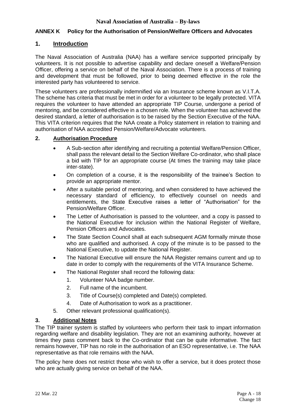#### **ANNEX K Policy for the Authorisation of Pension/Welfare Officers and Advocates**

#### **1. Introduction**

The Naval Association of Australia (NAA) has a welfare service supported principally by volunteers. It is not possible to advertise capability and declare oneself a Welfare/Pension Officer, offering a service on behalf of the Naval Association. There is a process of training and development that must be followed, prior to being deemed effective in the role the interested party has volunteered to service.

These volunteers are professionally indemnified via an Insurance scheme known as V.I.T.A. The scheme has criteria that must be met in order for a volunteer to be legally protected. VITA requires the volunteer to have attended an appropriate TIP Course, undergone a period of mentoring, and be considered effective in a chosen role. When the volunteer has achieved the desired standard, a letter of authorisation is to be raised by the Section Executive of the NAA. This VITA criterion requires that the NAA create a Policy statement in relation to training and authorisation of NAA accredited Pension/Welfare/Advocate volunteers.

#### **2. Authorisation Procedure**

- A Sub-section after identifying and recruiting a potential Welfare/Pension Officer, shall pass the relevant detail to the Section Welfare Co-ordinator, who shall place a bid with TIP for an appropriate course (At times the training may take place inter-state).
- On completion of a course, it is the responsibility of the trainee's Section to provide an appropriate mentor.
- After a suitable period of mentoring, and when considered to have achieved the necessary standard of efficiency, to effectively counsel on needs and entitlements, the State Executive raises a letter of "Authorisation" for the Pension/Welfare Officer.
- The Letter of Authorisation is passed to the volunteer, and a copy is passed to the National Executive for inclusion within the National Register of Welfare, Pension Officers and Advocates.
- The State Section Council shall at each subsequent AGM formally minute those who are qualified and authorised. A copy of the minute is to be passed to the National Executive, to update the National Register.
- The National Executive will ensure the NAA Register remains current and up to date in order to comply with the requirements of the VITA Insurance Scheme.
- The National Register shall record the following data:
	- 1. Volunteer NAA badge number.
	- 2. Full name of the incumbent.
	- 3. Title of Course(s) completed and Date(s) completed.
	- 4. Date of Authorisation to work as a practitioner.
- 5. Other relevant professional qualification(s).

#### **3. Additional Notes**

The TIP trainer system is staffed by volunteers who perform their task to impart information regarding welfare and disability legislation. They are not an examining authority, however at times they pass comment back to the Co-ordinator that can be quite informative. The fact remains however, TIP has no role in the authorisation of an ESO representative, i.e. The NAA representative as that role remains with the NAA.

The policy here does not restrict those who wish to offer a service, but it does protect those who are actually giving service on behalf of the NAA.